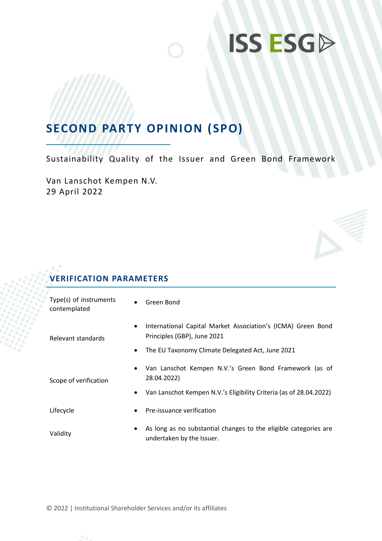### **SECOND PARTY OPINION (SPO)**

Sustainability Quality of the Issuer and Green Bond Framework

Van Lanschot Kempen N.V. 29 April 2022

### **VERIFICATION PARAMETERS**

| Type(s) of instruments<br>contemplated | $\bullet$ | Green Bond                                                                                    |
|----------------------------------------|-----------|-----------------------------------------------------------------------------------------------|
| Relevant standards                     | $\bullet$ | International Capital Market Association's (ICMA) Green Bond<br>Principles (GBP), June 2021   |
|                                        | ٠         | The EU Taxonomy Climate Delegated Act, June 2021                                              |
| Scope of verification                  | $\bullet$ | Van Lanschot Kempen N.V.'s Green Bond Framework (as of<br>28.04.2022)                         |
|                                        | ٠         | Van Lanschot Kempen N.V.'s Eligibility Criteria (as of 28.04.2022)                            |
| Lifecycle                              | $\bullet$ | Pre-issuance verification                                                                     |
| Validity                               | ٠         | As long as no substantial changes to the eligible categories are<br>undertaken by the Issuer. |

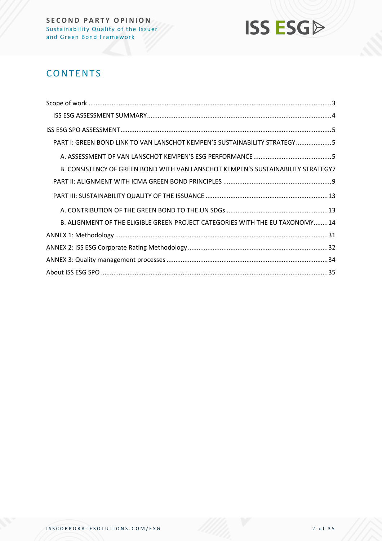

### **CONTENTS**

| PART I: GREEN BOND LINK TO VAN LANSCHOT KEMPEN'S SUSTAINABILITY STRATEGY5        |
|----------------------------------------------------------------------------------|
|                                                                                  |
| B. CONSISTENCY OF GREEN BOND WITH VAN LANSCHOT KEMPEN'S SUSTAINABILITY STRATEGY7 |
|                                                                                  |
|                                                                                  |
|                                                                                  |
| B. ALIGNMENT OF THE ELIGIBLE GREEN PROJECT CATEGORIES WITH THE EU TAXONOMY14     |
|                                                                                  |
|                                                                                  |
|                                                                                  |
|                                                                                  |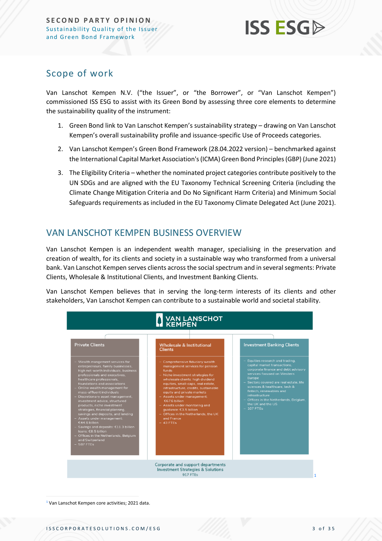### <span id="page-2-0"></span>Scope of work

Van Lanschot Kempen N.V. ("the Issuer", or "the Borrower", or "Van Lanschot Kempen") commissioned ISS ESG to assist with its Green Bond by assessing three core elements to determine the sustainability quality of the instrument:

- 1. Green Bond link to Van Lanschot Kempen's sustainability strategy drawing on Van Lanschot Kempen's overall sustainability profile and issuance-specific Use of Proceeds categories.
- 2. Van Lanschot Kempen's Green Bond Framework (28.04.2022 version) benchmarked against the International Capital Market Association's (ICMA) Green Bond Principles (GBP) (June 2021)
- 3. The Eligibility Criteria whether the nominated project categories contribute positively to the UN SDGs and are aligned with the EU Taxonomy Technical Screening Criteria (including the Climate Change Mitigation Criteria and Do No Significant Harm Criteria) and Minimum Social Safeguards requirements as included in the EU Taxonomy Climate Delegated Act (June 2021).

### VAN LANSCHOT KEMPEN BUSINESS OVERVIEW

Van Lanschot Kempen is an independent wealth manager, specialising in the preservation and creation of wealth, for its clients and society in a sustainable way who transformed from a universal bank. Van Lanschot Kempen serves clients across the social spectrum and in several segments: Private Clients, Wholesale & Institutional Clients, and Investment Banking Clients.

Van Lanschot Kempen believes that in serving the long-term interests of its clients and other stakeholders, Van Lanschot Kempen can contribute to a sustainable world and societal stability.

|                                                                                                                                                                                                                                                                                                                                                                                                                                                                                                                                                                                                                                           | <b>WAN LANSCHOT</b>                                                                                                                                                                                                                                                                                                                                                                                                                           |                                                                                                                                                                                                                                                                                                                                                       |
|-------------------------------------------------------------------------------------------------------------------------------------------------------------------------------------------------------------------------------------------------------------------------------------------------------------------------------------------------------------------------------------------------------------------------------------------------------------------------------------------------------------------------------------------------------------------------------------------------------------------------------------------|-----------------------------------------------------------------------------------------------------------------------------------------------------------------------------------------------------------------------------------------------------------------------------------------------------------------------------------------------------------------------------------------------------------------------------------------------|-------------------------------------------------------------------------------------------------------------------------------------------------------------------------------------------------------------------------------------------------------------------------------------------------------------------------------------------------------|
| <b>Private Clients</b>                                                                                                                                                                                                                                                                                                                                                                                                                                                                                                                                                                                                                    | <b>Wholesale &amp; Institutional</b><br><b>Clients</b>                                                                                                                                                                                                                                                                                                                                                                                        | <b>Investment Banking Clients</b>                                                                                                                                                                                                                                                                                                                     |
| Wealth mangement services for<br>entrepreneurs, family businesses,<br>high net-worth individuals, business<br>professionals and executives.<br>healthcare professionals,<br>foundations and associations<br>Online wealth management for<br>mass-affluent individuals<br>Discretionary asset management,<br>investment advice, structured<br>products, niche investment<br>strategies, financial planning,<br>savings and deposits, and lending<br>- Assets under management:<br>€44.6 billion<br>- Savings and deposits: €11.3 billion<br>loans: €8.5 billion<br>- Offices in the Netherlands, Belgium<br>and Switzerland<br>$-587$ FTEs | Comprehensive fiduciary wealth<br>management services for pension<br>funds<br>- Niche investment strategies for<br>wholesale clients: high dividend<br>equities, small-caps, real estate,<br>infrastructure, credits, sustainable<br>equity and private markets<br>- Assets under management:<br>€67.6 billion<br>- Assets under monitoring and<br>quidance: €3.5 billion<br>- Offices in the Netherlands, the UK<br>and France<br>$-43$ FTFs | Equities research and trading.<br>capital market transactions.<br>corporate finance and debt advisory<br>services focused on Western<br>Europe<br>- Sectors covered are real estate, life<br>sciences & healthcare, tech &<br>fintech, renewables and<br>infrastructure<br>- Offices in the Netherlands, Belgium,<br>the UK and the US<br>$-107$ FTEs |
|                                                                                                                                                                                                                                                                                                                                                                                                                                                                                                                                                                                                                                           | Corporate and support departments<br><b>Investment Strategies &amp; Solutions</b><br><b>917 FTEs</b>                                                                                                                                                                                                                                                                                                                                          |                                                                                                                                                                                                                                                                                                                                                       |

<sup>1</sup> Van Lanschot Kempen core activities; 2021 data.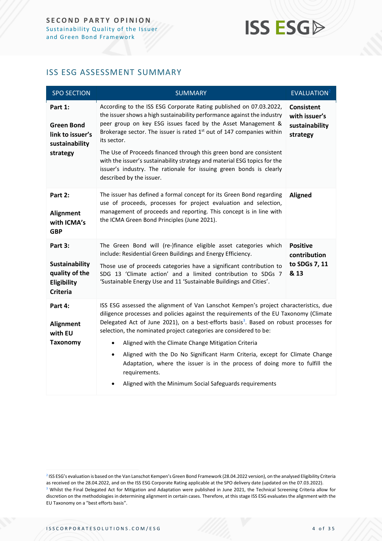### <span id="page-3-0"></span>ISS ESG ASSESSMENT SUMMARY

| <b>SPO SECTION</b>                                                                   | <b>SUMMARY</b>                                                                                                                                                                                                                                                                                                                                                                                                                                                                                                                                                                                                                                                                     | EVALUATION <sup>2</sup>                                          |
|--------------------------------------------------------------------------------------|------------------------------------------------------------------------------------------------------------------------------------------------------------------------------------------------------------------------------------------------------------------------------------------------------------------------------------------------------------------------------------------------------------------------------------------------------------------------------------------------------------------------------------------------------------------------------------------------------------------------------------------------------------------------------------|------------------------------------------------------------------|
| Part 1:<br><b>Green Bond</b><br>link to issuer's<br>sustainability<br>strategy       | According to the ISS ESG Corporate Rating published on 07.03.2022,<br>the issuer shows a high sustainability performance against the industry<br>peer group on key ESG issues faced by the Asset Management &<br>Brokerage sector. The issuer is rated 1 <sup>st</sup> out of 147 companies within<br>its sector.<br>The Use of Proceeds financed through this green bond are consistent<br>with the issuer's sustainability strategy and material ESG topics for the<br>issuer's industry. The rationale for issuing green bonds is clearly<br>described by the issuer.                                                                                                           | <b>Consistent</b><br>with issuer's<br>sustainability<br>strategy |
| Part 2:<br>Alignment<br>with ICMA's<br><b>GBP</b>                                    | The issuer has defined a formal concept for its Green Bond regarding<br>use of proceeds, processes for project evaluation and selection,<br>management of proceeds and reporting. This concept is in line with<br>the ICMA Green Bond Principles (June 2021).                                                                                                                                                                                                                                                                                                                                                                                                                      | <b>Aligned</b>                                                   |
| Part 3:<br><b>Sustainability</b><br>quality of the<br>Eligibility<br><b>Criteria</b> | The Green Bond will (re-)finance eligible asset categories which<br>include: Residential Green Buildings and Energy Efficiency.<br>Those use of proceeds categories have a significant contribution to<br>SDG 13 'Climate action' and a limited contribution to SDGs 7<br>'Sustainable Energy Use and 11 'Sustainable Buildings and Cities'.                                                                                                                                                                                                                                                                                                                                       | <b>Positive</b><br>contribution<br>to SDGs 7, 11<br>& 13         |
| Part 4:<br>Alignment<br>with EU<br><b>Taxonomy</b>                                   | ISS ESG assessed the alignment of Van Lanschot Kempen's project characteristics, due<br>diligence processes and policies against the requirements of the EU Taxonomy (Climate<br>Delegated Act of June 2021), on a best-efforts basis <sup>3</sup> . Based on robust processes for<br>selection, the nominated project categories are considered to be:<br>Aligned with the Climate Change Mitigation Criteria<br>$\bullet$<br>Aligned with the Do No Significant Harm Criteria, except for Climate Change<br>$\bullet$<br>Adaptation, where the issuer is in the process of doing more to fulfill the<br>requirements.<br>Aligned with the Minimum Social Safeguards requirements |                                                                  |

<sup>2</sup> ISS ESG's evaluation is based on the Van Lanschot Kempen's Green Bond Framework (28.04.2022 version), on the analysed Eligibility Criteria as received on the 28.04.2022, and on the ISS ESG Corporate Rating applicable at the SPO delivery date (updated on the 07.03.2022). <sup>3</sup> Whilst the Final Delegated Act for Mitigation and Adaptation were published in June 2021, the Technical Screening Criteria allow for discretion on the methodologies in determining alignment in certain cases. Therefore, at this stage ISS ESG evaluates the alignment with the EU Taxonomy on a "best efforts basis".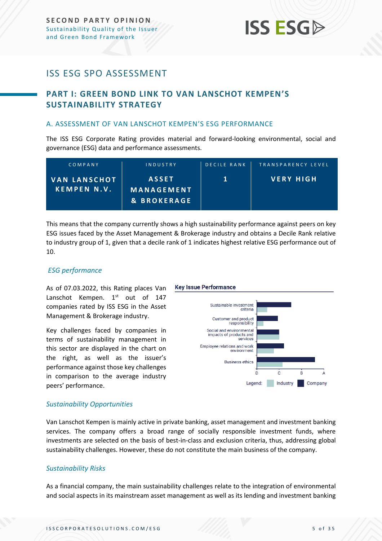### <span id="page-4-0"></span>ISS ESG SPO ASSESSMENT

### <span id="page-4-1"></span>**PART I: GREEN BOND LINK TO VAN LANSCHOT KEMPEN'S SUSTAINABILITY STRATEGY**

#### <span id="page-4-2"></span>A. ASSESSMENT OF VAN LANSCHOT KEMPEN'S ESG PERFORMANCE

The ISS ESG Corporate Rating provides material and forward-looking environmental, social and governance (ESG) data and performance assessments.

| COMPANY                                   | INDUSTRY                                             | <b>DECILE RANK</b> | TRANSPARENCY LEVEL |
|-------------------------------------------|------------------------------------------------------|--------------------|--------------------|
| <b>VAN LANSCHOT</b><br><b>KEMPEN N.V.</b> | <b>ASSET</b><br>MANAGEMENT<br><b>&amp; BROKERAGE</b> |                    | <b>VERY HIGH</b>   |

This means that the company currently shows a high sustainability performance against peers on key ESG issues faced by the Asset Management & Brokerage industry and obtains a Decile Rank relative to industry group of 1, given that a decile rank of 1 indicates highest relative ESG performance out of 10.

#### *ESG performance*

As of 07.03.2022, this Rating places Van Lanschot Kempen. 1<sup>st</sup> out of 147 companies rated by ISS ESG in the Asset Management & Brokerage industry.

Key challenges faced by companies in terms of sustainability management in this sector are displayed in the chart on the right, as well as the issuer's performance against those key challenges in comparison to the average industry peers' performance.

#### **Key Issue Performance**



#### *Sustainability Opportunities*

Van Lanschot Kempen is mainly active in private banking, asset management and investment banking services. The company offers a broad range of socially responsible investment funds, where investments are selected on the basis of best-in-class and exclusion criteria, thus, addressing global sustainability challenges. However, these do not constitute the main business of the company.

#### *Sustainability Risks*

As a financial company, the main sustainability challenges relate to the integration of environmental and social aspects in its mainstream asset management as well as its lending and investment banking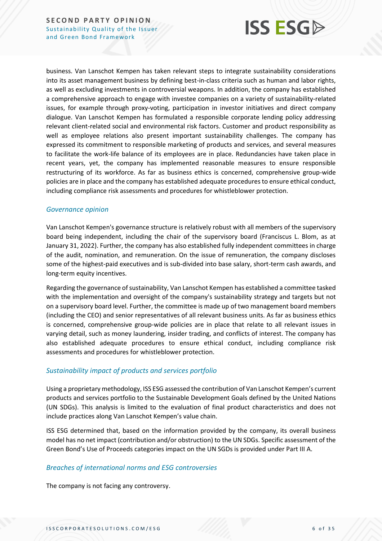

business. Van Lanschot Kempen has taken relevant steps to integrate sustainability considerations into its asset management business by defining best-in-class criteria such as human and labor rights, as well as excluding investments in controversial weapons. In addition, the company has established a comprehensive approach to engage with investee companies on a variety of sustainability-related issues, for example through proxy-voting, participation in investor initiatives and direct company dialogue. Van Lanschot Kempen has formulated a responsible corporate lending policy addressing relevant client-related social and environmental risk factors. Customer and product responsibility as well as employee relations also present important sustainability challenges. The company has expressed its commitment to responsible marketing of products and services, and several measures to facilitate the work-life balance of its employees are in place. Redundancies have taken place in recent years, yet, the company has implemented reasonable measures to ensure responsible restructuring of its workforce. As far as business ethics is concerned, comprehensive group-wide policies are in place and the company has established adequate procedures to ensure ethical conduct, including compliance risk assessments and procedures for whistleblower protection.

#### *Governance opinion*

Van Lanschot Kempen's governance structure is relatively robust with all members of the supervisory board being independent, including the chair of the supervisory board (Franciscus L. Blom, as at January 31, 2022). Further, the company has also established fully independent committees in charge of the audit, nomination, and remuneration. On the issue of remuneration, the company discloses some of the highest-paid executives and is sub-divided into base salary, short-term cash awards, and long-term equity incentives.

Regarding the governance of sustainability, Van Lanschot Kempen has established a committee tasked with the implementation and oversight of the company's sustainability strategy and targets but not on a supervisory board level. Further, the committee is made up of two management board members (including the CEO) and senior representatives of all relevant business units. As far as business ethics is concerned, comprehensive group-wide policies are in place that relate to all relevant issues in varying detail, such as money laundering, insider trading, and conflicts of interest. The company has also established adequate procedures to ensure ethical conduct, including compliance risk assessments and procedures for whistleblower protection.

#### *Sustainability impact of products and services portfolio*

Using a proprietary methodology, ISS ESG assessed the contribution of Van Lanschot Kempen's current products and services portfolio to the Sustainable Development Goals defined by the United Nations (UN SDGs). This analysis is limited to the evaluation of final product characteristics and does not include practices along Van Lanschot Kempen's value chain.

ISS ESG determined that, based on the information provided by the company, its overall business model has no net impact (contribution and/or obstruction) to the UN SDGs. Specific assessment of the Green Bond's Use of Proceeds categories impact on the UN SGDs is provided under Part III A.

#### *Breaches of international norms and ESG controversies*

The company is not facing any controversy.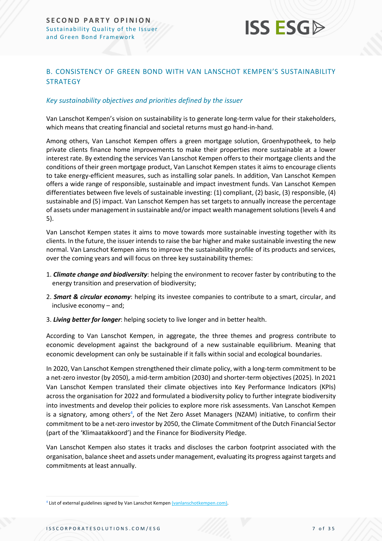

### <span id="page-6-0"></span>B. CONSISTENCY OF GREEN BOND WITH VAN LANSCHOT KEMPEN'S SUSTAINABILITY **STRATEGY**

#### *Key sustainability objectives and priorities defined by the issuer*

Van Lanschot Kempen's vision on sustainability is to generate long-term value for their stakeholders, which means that creating financial and societal returns must go hand-in-hand.

Among others, Van Lanschot Kempen offers a green mortgage solution, Groenhypotheek, to help private clients finance home improvements to make their properties more sustainable at a lower interest rate. By extending the services Van Lanschot Kempen offers to their mortgage clients and the conditions of their green mortgage product, Van Lanschot Kempen states it aims to encourage clients to take energy-efficient measures, such as installing solar panels. In addition, Van Lanschot Kempen offers a wide range of responsible, sustainable and impact investment funds. Van Lanschot Kempen differentiates between five levels of sustainable investing: (1) compliant, (2) basic, (3) responsible, (4) sustainable and (5) impact. Van Lanschot Kempen has set targets to annually increase the percentage of assets under management in sustainable and/or impact wealth management solutions (levels 4 and 5).

Van Lanschot Kempen states it aims to move towards more sustainable investing together with its clients. In the future, the issuer intends to raise the bar higher and make sustainable investing the new normal. Van Lanschot Kempen aims to improve the sustainability profile of its products and services, over the coming years and will focus on three key sustainability themes:

- 1. *Climate change and biodiversity*: helping the environment to recover faster by contributing to the energy transition and preservation of biodiversity;
- 2. *Smart & circular economy*: helping its investee companies to contribute to a smart, circular, and inclusive economy – and;
- 3. *Living better for longer*: helping society to live longer and in better health.

According to Van Lanschot Kempen, in aggregate, the three themes and progress contribute to economic development against the background of a new sustainable equilibrium. Meaning that economic development can only be sustainable if it falls within social and ecological boundaries.

In 2020, Van Lanschot Kempen strengthened their climate policy, with a long-term commitment to be a net-zero investor (by 2050), a mid-term ambition (2030) and shorter-term objectives (2025). In 2021 Van Lanschot Kempen translated their climate objectives into Key Performance Indicators (KPIs) across the organisation for 2022 and formulated a biodiversity policy to further integrate biodiversity into investments and develop their policies to explore more risk assessments. Van Lanschot Kempen is a signatory, among others<sup>4</sup>, of the Net Zero Asset Managers (NZAM) initiative, to confirm their commitment to be a net-zero investor by 2050, the Climate Commitment of the Dutch Financial Sector (part of the 'Klimaatakkoord') and the Finance for Biodiversity Pledge.

Van Lanschot Kempen also states it tracks and discloses the carbon footprint associated with the organisation, balance sheet and assets under management, evaluating its progress against targets and commitments at least annually.

<sup>&</sup>lt;sup>4</sup> List of external guidelines signed by Van Lanschot Kempen [\(vanlanschotkempen.com\).](https://www.vanlanschotkempen.com/en/sustainability/policy)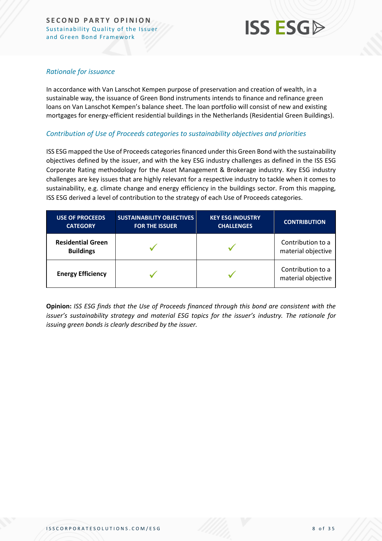

#### *Rationale for issuance*

In accordance with Van Lanschot Kempen purpose of preservation and creation of wealth, in a sustainable way, the issuance of Green Bond instruments intends to finance and refinance green loans on Van Lanschot Kempen's balance sheet. The loan portfolio will consist of new and existing mortgages for energy-efficient residential buildings in the Netherlands (Residential Green Buildings).

#### *Contribution of Use of Proceeds categories to sustainability objectives and priorities*

ISS ESG mapped the Use of Proceeds categories financed under this Green Bond with the sustainability objectives defined by the issuer, and with the key ESG industry challenges as defined in the ISS ESG Corporate Rating methodology for the Asset Management & Brokerage industry. Key ESG industry challenges are key issues that are highly relevant for a respective industry to tackle when it comes to sustainability, e.g. climate change and energy efficiency in the buildings sector. From this mapping, ISS ESG derived a level of contribution to the strategy of each Use of Proceeds categories.

| <b>USE OF PROCEEDS</b><br><b>CATEGORY</b>    | <b>SUSTAINABILITY OBJECTIVES</b><br><b>FOR THE ISSUER</b> | <b>KEY ESG INDUSTRY</b><br><b>CHALLENGES</b> | <b>CONTRIBUTION</b>                     |
|----------------------------------------------|-----------------------------------------------------------|----------------------------------------------|-----------------------------------------|
| <b>Residential Green</b><br><b>Buildings</b> |                                                           |                                              | Contribution to a<br>material objective |
| <b>Energy Efficiency</b>                     |                                                           |                                              | Contribution to a<br>material objective |

**Opinion:** *ISS ESG finds that the Use of Proceeds financed through this bond are consistent with the issuer's sustainability strategy and material ESG topics for the issuer's industry. The rationale for issuing green bonds is clearly described by the issuer.*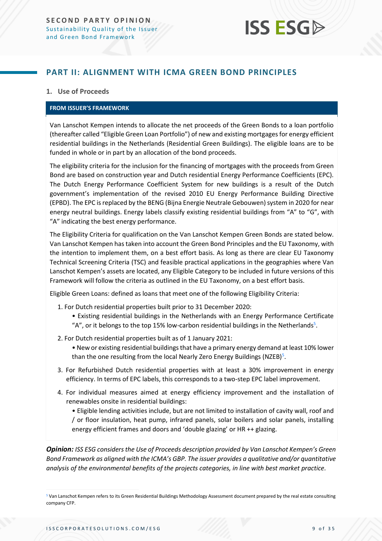

### <span id="page-8-0"></span>**PART II: ALIGNMENT WITH ICMA GREEN BOND PRINCIPLES**

#### **1. Use of Proceeds**

#### **FROM ISSUER'S FRAMEWORK**

Van Lanschot Kempen intends to allocate the net proceeds of the Green Bonds to a loan portfolio (thereafter called "Eligible Green Loan Portfolio") of new and existing mortgages for energy efficient residential buildings in the Netherlands (Residential Green Buildings). The eligible loans are to be funded in whole or in part by an allocation of the bond proceeds.

The eligibility criteria for the inclusion for the financing of mortgages with the proceeds from Green Bond are based on construction year and Dutch residential Energy Performance Coefficients (EPC). The Dutch Energy Performance Coefficient System for new buildings is a result of the Dutch government's implementation of the revised 2010 EU Energy Performance Building Directive (EPBD). The EPC is replaced by the BENG (Bijna Energie Neutrale Gebouwen) system in 2020 for near energy neutral buildings. Energy labels classify existing residential buildings from "A" to "G", with "A" indicating the best energy performance.

The Eligibility Criteria for qualification on the Van Lanschot Kempen Green Bonds are stated below. Van Lanschot Kempen has taken into account the Green Bond Principles and the EU Taxonomy, with the intention to implement them, on a best effort basis. As long as there are clear EU Taxonomy Technical Screening Criteria (TSC) and feasible practical applications in the geographies where Van Lanschot Kempen's assets are located, any Eligible Category to be included in future versions of this Framework will follow the criteria as outlined in the EU Taxonomy, on a best effort basis.

Eligible Green Loans: defined as loans that meet one of the following Eligibility Criteria:

- 1. For Dutch residential properties built prior to 31 December 2020:
	- Existing residential buildings in the Netherlands with an Energy Performance Certificate
	- "A", or it belongs to the top 15% low-carbon residential buildings in the Netherlands<sup>5</sup>.
- 2. For Dutch residential properties built as of 1 January 2021:
	- New or existing residential buildings that have a primary energy demand at least 10% lower than the one resulting from the local Nearly Zero Energy Buildings (NZEB)<sup>5</sup>.
- 3. For Refurbished Dutch residential properties with at least a 30% improvement in energy efficiency. In terms of EPC labels, this corresponds to a two-step EPC label improvement.
- 4. For individual measures aimed at energy efficiency improvement and the installation of renewables onsite in residential buildings:

• Eligible lending activities include, but are not limited to installation of cavity wall, roof and / or floor insulation, heat pump, infrared panels, solar boilers and solar panels, installing energy efficient frames and doors and 'double glazing' or HR ++ glazing.

*Opinion: ISS ESG considers the Use of Proceeds description provided by Van Lanschot Kempen's Green Bond Framework as aligned with the ICMA's GBP. The issuer provides a qualitative and/or quantitative analysis of the environmental benefits of the projects categories, in line with best market practice.*

<sup>&</sup>lt;sup>5</sup> Van Lanschot Kempen refers to its Green Residential Buildings Methodology Assessment document prepared by the real estate consulting company CFP.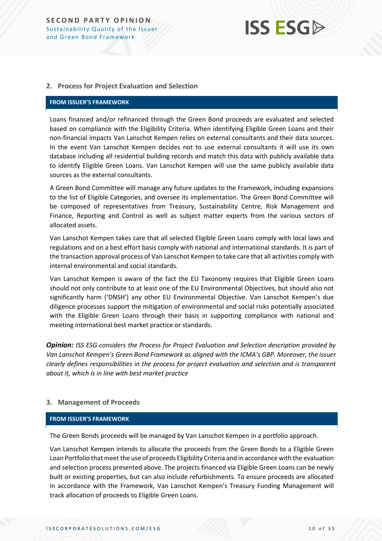#### **2. Process for Project Evaluation and Selection**

#### **FROM ISSUER'S FRAMEWORK**

Loans financed and/or refinanced through the Green Bond proceeds are evaluated and selected based on compliance with the Eligibility Criteria. When identifying Eligible Green Loans and their non-financial impacts Van Lanschot Kempen relies on external consultants and their data sources. In the event Van Lanschot Kempen decides not to use external consultants it will use its own database including all residential building records and match this data with publicly available data to identify Eligible Green Loans. Van Lanschot Kempen will use the same publicly available data sources as the external consultants.

A Green Bond Committee will manage any future updates to the Framework, including expansions to the list of Eligible Categories, and oversee its implementation. The Green Bond Committee will be composed of representatives from Treasury, Sustainability Centre, Risk Management and Finance, Reporting and Control as well as subject matter experts from the various sectors of allocated assets.

Van Lanschot Kempen takes care that all selected Eligible Green Loans comply with local laws and regulations and on a best effort basis comply with national and international standards. It is part of the transaction approval process of Van Lanschot Kempen to take care that all activities comply with internal environmental and social standards.

Van Lanschot Kempen is aware of the fact the EU Taxonomy requires that Eligible Green Loans should not only contribute to at least one of the EU Environmental Objectives, but should also not significantly harm ('DNSH') any other EU Environmental Objective. Van Lanschot Kempen's due diligence processes support the mitigation of environmental and social risks potentially associated with the Eligible Green Loans through their basis in supporting compliance with national and meeting international best market practice or standards.

*Opinion: ISS ESG considers the Process for Project Evaluation and Selection description provided by Van Lanschot Kempen's Green Bond Framework as aligned with the ICMA's GBP. Moreover, the issuer clearly defines responsibilities in the process for project evaluation and selection and is transparent about it, which is in line with best market practice*

#### **3. Management of Proceeds**

#### **FROM ISSUER'S FRAMEWORK**

The Green Bonds proceeds will be managed by Van Lanschot Kempen in a portfolio approach.

Van Lanschot Kempen intends to allocate the proceeds from the Green Bonds to a Eligible Green Loan Portfolio that meet the use of proceeds Eligibility Criteria and in accordance with the evaluation and selection process presented above. The projects financed via Eligible Green Loans can be newly built or existing properties, but can also include refurbishments. To ensure proceeds are allocated in accordance with the Framework, Van Lanschot Kempen's Treasury Funding Management will track allocation of proceeds to Eligible Green Loans.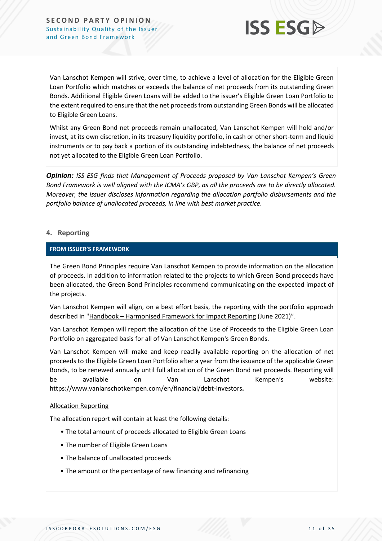

Van Lanschot Kempen will strive, over time, to achieve a level of allocation for the Eligible Green Loan Portfolio which matches or exceeds the balance of net proceeds from its outstanding Green Bonds. Additional Eligible Green Loans will be added to the issuer's Eligible Green Loan Portfolio to the extent required to ensure that the net proceeds from outstanding Green Bonds will be allocated to Eligible Green Loans.

Whilst any Green Bond net proceeds remain unallocated, Van Lanschot Kempen will hold and/or invest, at its own discretion, in its treasury liquidity portfolio, in cash or other short-term and liquid instruments or to pay back a portion of its outstanding indebtedness, the balance of net proceeds not yet allocated to the Eligible Green Loan Portfolio.

*Opinion: ISS ESG finds that Management of Proceeds proposed by Van Lanschot Kempen's Green Bond Framework is well aligned with the ICMA's GBP, as all the proceeds are to be directly allocated. Moreover, the issuer discloses information regarding the allocation portfolio disbursements and the portfolio balance of unallocated proceeds, in line with best market practice.*

#### **4. Reporting**

#### **FROM ISSUER'S FRAMEWORK**

The Green Bond Principles require Van Lanschot Kempen to provide information on the allocation of proceeds. In addition to information related to the projects to which Green Bond proceeds have been allocated, the Green Bond Principles recommend communicating on the expected impact of the projects.

Van Lanschot Kempen will align, on a best effort basis, the reporting with the portfolio approach described in "Handbook – [Harmonised Framework for Impact Reporting](https://www.icmagroup.org/assets/documents/Sustainable-finance/2021-updates/Handbook-Harmonised-Framework-for-Impact-Reporting-June-2021-100621.pdf) (June 2021)".

Van Lanschot Kempen will report the allocation of the Use of Proceeds to the Eligible Green Loan Portfolio on aggregated basis for all of Van Lanschot Kempen's Green Bonds.

Van Lanschot Kempen will make and keep readily available reporting on the allocation of net proceeds to the Eligible Green Loan Portfolio after a year from the issuance of the applicable Green Bonds, to be renewed annually until full allocation of the Green Bond net proceeds. Reporting will be available on Van Lanschot Kempen's website: https://www.vanlanschotkempen.com/en/financial/debt-investors**.**

#### Allocation Reporting

The allocation report will contain at least the following details:

- The total amount of proceeds allocated to Eligible Green Loans
- The number of Eligible Green Loans
- The balance of unallocated proceeds
- The amount or the percentage of new financing and refinancing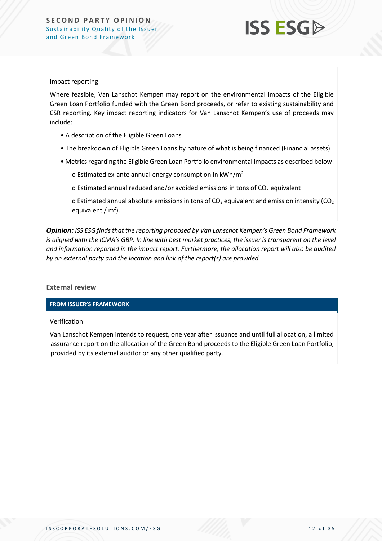

#### Impact reporting

Where feasible, Van Lanschot Kempen may report on the environmental impacts of the Eligible Green Loan Portfolio funded with the Green Bond proceeds, or refer to existing sustainability and CSR reporting. Key impact reporting indicators for Van Lanschot Kempen's use of proceeds may include:

- A description of the Eligible Green Loans
- The breakdown of Eligible Green Loans by nature of what is being financed (Financial assets)
- Metrics regarding the Eligible Green Loan Portfolio environmental impacts as described below:

o Estimated ex-ante annual energy consumption in  $kWh/m^2$ 

o Estimated annual reduced and/or avoided emissions in tons of  $CO<sub>2</sub>$  equivalent

o Estimated annual absolute emissions in tons of  $CO<sub>2</sub>$  equivalent and emission intensity ( $CO<sub>2</sub>$ ) equivalent /  $m<sup>2</sup>$ ).

*Opinion: ISS ESG finds that the reporting proposed by Van Lanschot Kempen's Green Bond Framework is aligned with the ICMA's GBP. In line with best market practices, the issuer is transparent on the level and information reported in the impact report. Furthermore, the allocation report will also be audited by an external party and the location and link of the report(s) are provided.*

**External review**

**FROM ISSUER'S FRAMEWORK**

#### **Verification**

Van Lanschot Kempen intends to request, one year after issuance and until full allocation, a limited assurance report on the allocation of the Green Bond proceeds to the Eligible Green Loan Portfolio, provided by its external auditor or any other qualified party.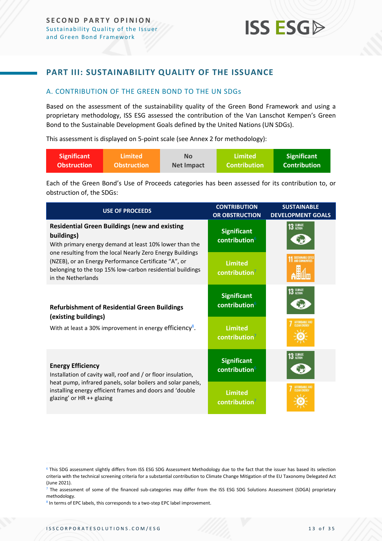### <span id="page-12-0"></span>**PART III: SUSTAINABILITY QUALITY OF THE ISSUANCE**

#### <span id="page-12-1"></span>A. CONTRIBUTION OF THE GREEN BOND TO THE UN SDGs

Based on the assessment of the sustainability quality of the Green Bond Framework and using a proprietary methodology, ISS ESG assessed the contribution of the Van Lanschot Kempen's Green Bond to the Sustainable Development Goals defined by the United Nations (UN SDGs).

This assessment is displayed on 5-point scale (see Annex 2 for methodology):

| Significant        | ا Limited          | <b>No</b>         | Limited             | <b>Significant</b>  |
|--------------------|--------------------|-------------------|---------------------|---------------------|
| <b>Obstruction</b> | <b>Obstruction</b> | <b>Net Impact</b> | <b>Contribution</b> | <b>Contribution</b> |

Each of the Green Bond's Use of Proceeds categories has been assessed for its contribution to, or obstruction of, the SDGs:

| <b>USE OF PROCEEDS</b>                                                                                                                                                                               | <b>CONTRIBUTION</b><br><b>OR OBSTRUCTION</b>    | <b>SUSTAINABLE</b><br><b>DEVELOPMENT GOALS</b> |
|------------------------------------------------------------------------------------------------------------------------------------------------------------------------------------------------------|-------------------------------------------------|------------------------------------------------|
| <b>Residential Green Buildings (new and existing</b><br>buildings)<br>With primary energy demand at least 10% lower than the                                                                         | <b>Significant</b><br>contribution <sup>6</sup> | 13 GLIMATE                                     |
| one resulting from the local Nearly Zero Energy Buildings<br>(NZEB), or an Energy Performance Certificate "A", or<br>belonging to the top 15% low-carbon residential buildings<br>in the Netherlands | <b>Limited</b><br>contribution <sup>7</sup>     |                                                |
| <b>Refurbishment of Residential Green Buildings</b><br>(existing buildings)                                                                                                                          | <b>Significant</b><br>contribution <sup>6</sup> | 13 GLIMATE                                     |
| With at least a 30% improvement in energy efficiency <sup>8</sup> .                                                                                                                                  | <b>Limited</b><br>contribution <sup>7</sup>     | AFFORDABLE A<br>CLEAN ENERGY                   |
| <b>Energy Efficiency</b><br>Installation of cavity wall, roof and / or floor insulation,                                                                                                             | <b>Significant</b><br>contribution <sup>6</sup> | 13 GLIMATE                                     |
| heat pump, infrared panels, solar boilers and solar panels,<br>installing energy efficient frames and doors and 'double<br>glazing' or HR ++ glazing                                                 | <b>Limited</b><br>contribution <sup>7</sup>     |                                                |

<sup>&</sup>lt;sup>6</sup> This SDG assessment slightly differs from ISS ESG SDG Assessment Methodology due to the fact that the issuer has based its selection criteria with the technical screening criteria for a substantial contribution to Climate Change Mitigation of the EU Taxonomy Delegated Act (June 2021).

<sup>&</sup>lt;sup>7</sup> The assessment of some of the financed sub-categories may differ from the ISS ESG SDG Solutions Assessment (SDGA) proprietary methodology.

<sup>8</sup> In terms of EPC labels, this corresponds to a two-step EPC label improvement.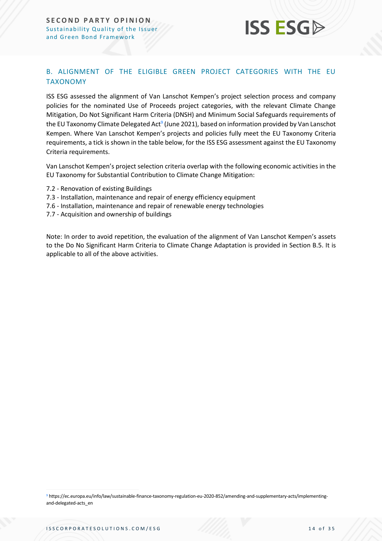### <span id="page-13-0"></span>B. ALIGNMENT OF THE ELIGIBLE GREEN PROJECT CATEGORIES WITH THE EU TAXONOMY

ISS ESG assessed the alignment of Van Lanschot Kempen's project selection process and company policies for the nominated Use of Proceeds project categories, with the relevant Climate Change Mitigation, Do Not Significant Harm Criteria (DNSH) and Minimum Social Safeguards requirements of the EU Taxonomy Climate Delegated Act<sup>9</sup> (June 2021), based on information provided by Van Lanschot Kempen. Where Van Lanschot Kempen's projects and policies fully meet the EU Taxonomy Criteria requirements, a tick is shown in the table below, for the ISS ESG assessment against the EU Taxonomy Criteria requirements.

Van Lanschot Kempen's project selection criteria overlap with the following economic activities in the EU Taxonomy for Substantial Contribution to Climate Change Mitigation:

- 7.2 Renovation of existing Buildings
- 7.3 Installation, maintenance and repair of energy efficiency equipment
- 7.6 Installation, maintenance and repair of renewable energy technologies
- 7.7 Acquisition and ownership of buildings

Note: In order to avoid repetition, the evaluation of the alignment of Van Lanschot Kempen's assets to the Do No Significant Harm Criteria to Climate Change Adaptation is provided in Section B.5. It is applicable to all of the above activities.

<sup>9</sup> https://ec.europa.eu/info/law/sustainable-finance-taxonomy-regulation-eu-2020-852/amending-and-supplementary-acts/implementingand-delegated-acts\_en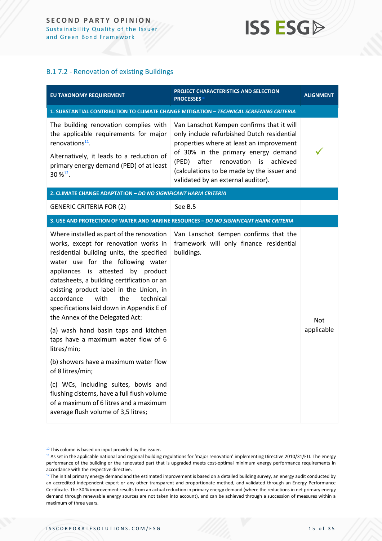#### B.1 7.2 - Renovation of existing Buildings

| EU TAXONOMY REQUIREMENT                                                                                                                                                                                                                                                                                                                                                                                                                                                                                                                                                                                                                                                                                                                                         | PROJECT CHARACTERISTICS AND SELECTION<br>PROCESSES <sup>10</sup>                                                                                                                                                                                                                                                 | <b>ALIGNMENT</b>         |
|-----------------------------------------------------------------------------------------------------------------------------------------------------------------------------------------------------------------------------------------------------------------------------------------------------------------------------------------------------------------------------------------------------------------------------------------------------------------------------------------------------------------------------------------------------------------------------------------------------------------------------------------------------------------------------------------------------------------------------------------------------------------|------------------------------------------------------------------------------------------------------------------------------------------------------------------------------------------------------------------------------------------------------------------------------------------------------------------|--------------------------|
|                                                                                                                                                                                                                                                                                                                                                                                                                                                                                                                                                                                                                                                                                                                                                                 | 1. SUBSTANTIAL CONTRIBUTION TO CLIMATE CHANGE MITIGATION - TECHNICAL SCREENING CRITERIA                                                                                                                                                                                                                          |                          |
| The building renovation complies with<br>the applicable requirements for major<br>renovations <sup>11</sup> .<br>Alternatively, it leads to a reduction of<br>primary energy demand (PED) of at least<br>$30 \%^{12}$ .                                                                                                                                                                                                                                                                                                                                                                                                                                                                                                                                         | Van Lanschot Kempen confirms that it will<br>only include refurbished Dutch residential<br>properties where at least an improvement<br>of 30% in the primary energy demand<br>after<br>renovation<br>achieved<br>(PED)<br>is<br>(calculations to be made by the issuer and<br>validated by an external auditor). |                          |
| 2. CLIMATE CHANGE ADAPTATION - DO NO SIGNIFICANT HARM CRITERIA                                                                                                                                                                                                                                                                                                                                                                                                                                                                                                                                                                                                                                                                                                  |                                                                                                                                                                                                                                                                                                                  |                          |
| <b>GENERIC CRITERIA FOR (2)</b>                                                                                                                                                                                                                                                                                                                                                                                                                                                                                                                                                                                                                                                                                                                                 | See B.5                                                                                                                                                                                                                                                                                                          |                          |
|                                                                                                                                                                                                                                                                                                                                                                                                                                                                                                                                                                                                                                                                                                                                                                 | 3. USE AND PROTECTION OF WATER AND MARINE RESOURCES - DO NO SIGNIFICANT HARM CRITERIA                                                                                                                                                                                                                            |                          |
| Where installed as part of the renovation<br>works, except for renovation works in<br>residential building units, the specified<br>water use for the following water<br>appliances is attested by product<br>datasheets, a building certification or an<br>existing product label in the Union, in<br>the<br>accordance<br>with<br>technical<br>specifications laid down in Appendix E of<br>the Annex of the Delegated Act:<br>(a) wash hand basin taps and kitchen<br>taps have a maximum water flow of 6<br>litres/min;<br>(b) showers have a maximum water flow<br>of 8 litres/min;<br>(c) WCs, including suites, bowls and<br>flushing cisterns, have a full flush volume<br>of a maximum of 6 litres and a maximum<br>average flush volume of 3,5 litres; | Van Lanschot Kempen confirms that the<br>framework will only finance residential<br>buildings.                                                                                                                                                                                                                   | <b>Not</b><br>applicable |

<sup>&</sup>lt;sup>10</sup> This column is based on input provided by the issuer.

<sup>&</sup>lt;sup>11</sup> As set in the applicable national and regional building regulations for 'major renovation' implementing Directive 2010/31/EU. The energy performance of the building or the renovated part that is upgraded meets cost-optimal minimum energy performance requirements in accordance with the respective directive.

<sup>&</sup>lt;sup>12</sup> The initial primary energy demand and the estimated improvement is based on a detailed building survey, an energy audit conducted by an accredited independent expert or any other transparent and proportionate method, and validated through an Energy Performance Certificate. The 30 % improvement results from an actual reduction in primary energy demand (where the reductions in net primary energy demand through renewable energy sources are not taken into account), and can be achieved through a succession of measures within a maximum of three years.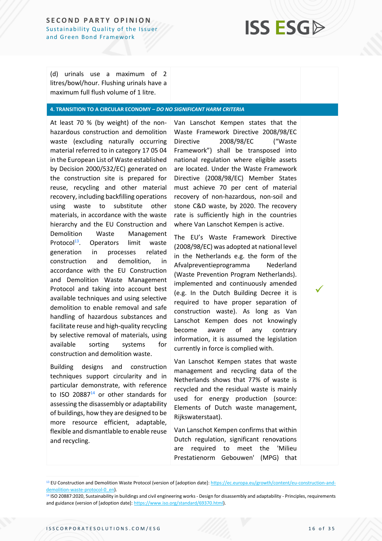(d) urinals use a maximum of 2 litres/bowl/hour. Flushing urinals have a maximum full flush volume of 1 litre.

#### **4. TRANSITION TO A CIRCULAR ECONOMY –** *DO NO SIGNIFICANT HARM CRITERIA*

At least 70 % (by weight) of the nonhazardous construction and demolition waste (excluding naturally occurring material referred to in category 17 05 04 in the European List of Waste established by Decision 2000/532/EC) generated on the construction site is prepared for reuse, recycling and other material recovery, including backfilling operations using waste to substitute other materials, in accordance with the waste hierarchy and the EU Construction and Demolition Waste Management Protocol $13$ . Operators limit waste generation in processes related construction and demolition, in accordance with the EU Construction and Demolition Waste Management Protocol and taking into account best available techniques and using selective demolition to enable removal and safe handling of hazardous substances and facilitate reuse and high-quality recycling by selective removal of materials, using available sorting systems for construction and demolition waste.

Building designs and construction techniques support circularity and in particular demonstrate, with reference to ISO 20887 $14$  or other standards for assessing the disassembly or adaptability of buildings, how they are designed to be more resource efficient, adaptable, flexible and dismantlable to enable reuse and recycling.

Van Lanschot Kempen states that the Waste Framework Directive 2008/98/EC Directive 2008/98/EC ("Waste Framework") shall be transposed into national regulation where eligible assets are located. Under the Waste Framework Directive (2008/98/EC) Member States must achieve 70 per cent of material recovery of non-hazardous, non-soil and stone C&D waste, by 2020. The recovery rate is sufficiently high in the countries where Van Lanschot Kempen is active.

The EU's Waste Framework Directive (2008/98/EC) was adopted at national level in the Netherlands e.g. the form of the Afvalpreventieprogramma Nederland (Waste Prevention Program Netherlands). implemented and continuously amended (e.g. In the Dutch Building Decree it is required to have proper separation of construction waste). As long as Van Lanschot Kempen does not knowingly become aware of any contrary information, it is assumed the legislation currently in force is complied with.

Van Lanschot Kempen states that waste management and recycling data of the Netherlands shows that 77% of waste is recycled and the residual waste is mainly used for energy production (source: Elements of Dutch waste management, Rijkswaterstaat).

Van Lanschot Kempen confirms that within Dutch regulation, significant renovations are required to meet the 'Milieu Prestatienorm Gebouwen' (MPG) that ✓

<sup>&</sup>lt;sup>13</sup> EU Construction and Demolition Waste Protocol (version of [adoption date][: https://ec.europa.eu/growth/content/eu-construction-and](https://ec.europa.eu/growth/content/eu-construction-and-demolition-waste-protocol-0_en)[demolition-waste-protocol-0\\_en\)](https://ec.europa.eu/growth/content/eu-construction-and-demolition-waste-protocol-0_en).

<sup>&</sup>lt;sup>14</sup> ISO 20887:2020, Sustainability in buildings and civil engineering works - Design for disassembly and adaptability - Principles, requirements and guidance (version of [adoption date][: https://www.iso.org/standard/69370.html\).](https://www.iso.org/standard/69370.html)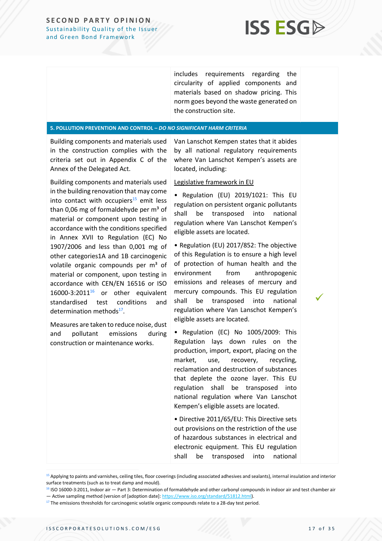

includes requirements regarding the circularity of applied components and materials based on shadow pricing. This norm goes beyond the waste generated on the construction site.

#### **5. POLLUTION PREVENTION AND CONTROL –** *DO NO SIGNIFICANT HARM CRITERIA*

Building components and materials used in the construction complies with the criteria set out in Appendix C of the Annex of the Delegated Act.

Building components and materials used in the building renovation that may come into contact with occupiers $15$  emit less than 0,06 mg of formaldehyde per  $m<sup>3</sup>$  of material or component upon testing in accordance with the conditions specified in Annex XVII to Regulation (EC) No 1907/2006 and less than 0,001 mg of other categories1A and 1B carcinogenic volatile organic compounds per  $m<sup>3</sup>$  of material or component, upon testing in accordance with CEN/EN 16516 or ISO  $16000-3:2011^{16}$  or other equivalent standardised test conditions and determination methods<sup>17</sup>.

Measures are taken to reduce noise, dust and pollutant emissions during construction or maintenance works.

› Van Lanschot Kempen states that it abides by all national regulatory requirements where Van Lanschot Kempen's assets are located, including:

#### Legislative framework in EU

› • Regulation (EU) 2019/1021: This EU regulation on persistent organic pollutants shall be transposed into national regulation where Van Lanschot Kempen's eligible assets are located.

› • Regulation (EU) 2017/852: The objective of this Regulation is to ensure a high level of protection of human health and the environment from anthropogenic emissions and releases of mercury and mercury compounds. This EU regulation shall be transposed into national regulation where Van Lanschot Kempen's eligible assets are located.

› • Regulation (EC) No 1005/2009: This Regulation lays down rules on the production, import, export, placing on the market, use, recovery, recycling, reclamation and destruction of substances that deplete the ozone layer. This EU regulation shall be transposed into national regulation where Van Lanschot Kempen's eligible assets are located.

› • Directive 2011/65/EU: This Directive sets out provisions on the restriction of the use of hazardous substances in electrical and electronic equipment. This EU regulation shall be transposed into national ✓

<sup>15</sup> Applying to paints and varnishes, ceiling tiles, floor coverings (including associated adhesives and sealants), internal insulation and interior surface treatments (such as to treat damp and mould).

<sup>16</sup> ISO 16000-3:2011, Indoor air — Part 3: Determination of formaldehyde and other carbonyl compounds in indoor air and test chamber air — Active sampling method (version of [adoption date][: https://www.iso.org/standard/51812.html\)](https://www.iso.org/standard/51812.html).

<sup>&</sup>lt;sup>17</sup> The emissions thresholds for carcinogenic volatile organic compounds relate to a 28-day test period.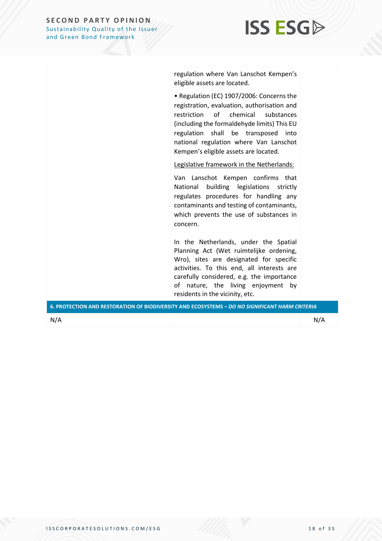

regulation where Van Lanschot Kempen's eligible assets are located.

› • Regulation (EC) 1907/2006: Concerns the registration, evaluation, authorisation and restriction of chemical substances (including the formaldehyde limits) This EU regulation shall be transposed into national regulation where Van Lanschot Kempen's eligible assets are located.

Legislative framework in the Netherlands:

Van Lanschot Kempen confirms that National building legislations strictly regulates procedures for handling any contaminants and testing of contaminants, which prevents the use of substances in concern.

In the Netherlands, under the Spatial Planning Act (Wet ruimtelijke ordening, Wro), sites are designated for specific activities. To this end, all interests are carefully considered, e.g. the importance of nature, the living enjoyment by residents in the vicinity, etc.

|     | 6. PROTECTION AND RESTORATION OF BIODIVERSITY AND ECOSYSTEMS - DO NO SIGNIFICANT HARM CRITERIA |     |
|-----|------------------------------------------------------------------------------------------------|-----|
| N/A |                                                                                                | N/A |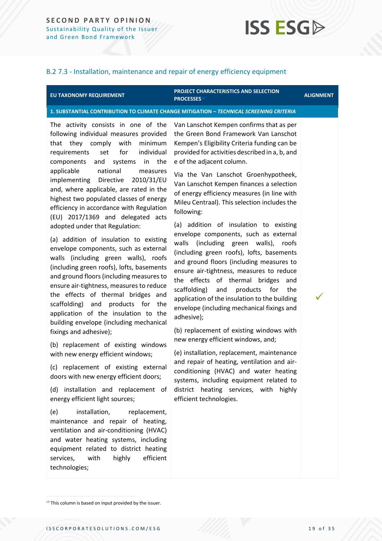#### B.2 7.3 - Installation, maintenance and repair of energy efficiency equipment

#### **EU TAXONOMY REQUIREMENT**

#### **PROJECT CHARACTERISTICS AND SELECTION PROCESSES**<sup>18</sup> **ALIGNMENT**

✓

#### **1. SUBSTANTIAL CONTRIBUTION TO CLIMATE CHANGE MITIGATION –** *TECHNICAL SCREENING CRITERIA*

The activity consists in one of the following individual measures provided that they comply with minimum requirements set for individual components and systems in the applicable national measures implementing Directive 2010/31/EU and, where applicable, are rated in the highest two populated classes of energy efficiency in accordance with Regulation (EU) 2017/1369 and delegated acts adopted under that Regulation:

(a) addition of insulation to existing envelope components, such as external walls (including green walls), roofs (including green roofs), lofts, basements and ground floors (including measures to ensure air-tightness, measures to reduce the effects of thermal bridges and scaffolding) and products for the application of the insulation to the building envelope (including mechanical fixings and adhesive);

(b) replacement of existing windows with new energy efficient windows;

(c) replacement of existing external doors with new energy efficient doors;

(d) installation and replacement of energy efficient light sources;

(e) installation, replacement, maintenance and repair of heating, ventilation and air-conditioning (HVAC) and water heating systems, including equipment related to district heating services, with highly efficient technologies;

Van Lanschot Kempen confirms that as per the Green Bond Framework Van Lanschot Kempen's Eligibility Criteria funding can be provided for activities described in a, b, and e of the adjacent column.

Via the Van Lanschot Groenhypotheek, Van Lanschot Kempen finances a selection of energy efficiency measures (in line with Mileu Centraal). This selection includes the following:

(a) addition of insulation to existing envelope components, such as external walls (including green walls), roofs (including green roofs), lofts, basements and ground floors (including measures to ensure air-tightness, measures to reduce the effects of thermal bridges and scaffolding) and products for the application of the insulation to the building envelope (including mechanical fixings and adhesive);

(b) replacement of existing windows with new energy efficient windows, and;

(e) installation, replacement, maintenance and repair of heating, ventilation and airconditioning (HVAC) and water heating systems, including equipment related to district heating services, with highly efficient technologies.

 $18$  This column is based on input provided by the issuer.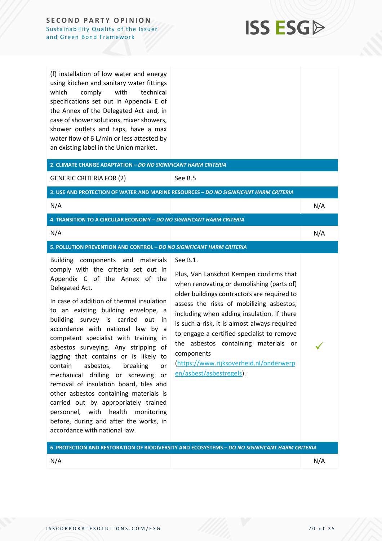

(f) installation of low water and energy using kitchen and sanitary water fittings which comply with technical specifications set out in Appendix E of the Annex of the Delegated Act and, in case of shower solutions, mixer showers, shower outlets and taps, have a max water flow of 6 L/min or less attested by

| 2. CLIMATE CHANGE ADAPTATION - DO NO SIGNIFICANT HARM CRITERIA<br><b>GENERIC CRITERIA FOR (2)</b><br>See B.5                                                                                                                                                                                                                                                                                                                                                                                                                                                                                                                                                                                                                                                                                                                                                                                                                                                                                                                                                                                                                                                                                                                                                                                                                        |  |
|-------------------------------------------------------------------------------------------------------------------------------------------------------------------------------------------------------------------------------------------------------------------------------------------------------------------------------------------------------------------------------------------------------------------------------------------------------------------------------------------------------------------------------------------------------------------------------------------------------------------------------------------------------------------------------------------------------------------------------------------------------------------------------------------------------------------------------------------------------------------------------------------------------------------------------------------------------------------------------------------------------------------------------------------------------------------------------------------------------------------------------------------------------------------------------------------------------------------------------------------------------------------------------------------------------------------------------------|--|
|                                                                                                                                                                                                                                                                                                                                                                                                                                                                                                                                                                                                                                                                                                                                                                                                                                                                                                                                                                                                                                                                                                                                                                                                                                                                                                                                     |  |
|                                                                                                                                                                                                                                                                                                                                                                                                                                                                                                                                                                                                                                                                                                                                                                                                                                                                                                                                                                                                                                                                                                                                                                                                                                                                                                                                     |  |
| 3. USE AND PROTECTION OF WATER AND MARINE RESOURCES - DO NO SIGNIFICANT HARM CRITERIA                                                                                                                                                                                                                                                                                                                                                                                                                                                                                                                                                                                                                                                                                                                                                                                                                                                                                                                                                                                                                                                                                                                                                                                                                                               |  |
| N/A<br>N/A                                                                                                                                                                                                                                                                                                                                                                                                                                                                                                                                                                                                                                                                                                                                                                                                                                                                                                                                                                                                                                                                                                                                                                                                                                                                                                                          |  |
| 4. TRANSITION TO A CIRCULAR ECONOMY - DO NO SIGNIFICANT HARM CRITERIA                                                                                                                                                                                                                                                                                                                                                                                                                                                                                                                                                                                                                                                                                                                                                                                                                                                                                                                                                                                                                                                                                                                                                                                                                                                               |  |
| N/A<br>N/A                                                                                                                                                                                                                                                                                                                                                                                                                                                                                                                                                                                                                                                                                                                                                                                                                                                                                                                                                                                                                                                                                                                                                                                                                                                                                                                          |  |
| 5. POLLUTION PREVENTION AND CONTROL - DO NO SIGNIFICANT HARM CRITERIA                                                                                                                                                                                                                                                                                                                                                                                                                                                                                                                                                                                                                                                                                                                                                                                                                                                                                                                                                                                                                                                                                                                                                                                                                                                               |  |
| See B.1.<br>Building components and<br>materials<br>comply with the criteria set out in<br>Plus, Van Lanschot Kempen confirms that<br>Appendix C of the Annex of the<br>when renovating or demolishing (parts of)<br>Delegated Act.<br>older buildings contractors are required to<br>In case of addition of thermal insulation<br>assess the risks of mobilizing asbestos,<br>to an existing building envelope, a<br>including when adding insulation. If there<br>building survey is carried out<br>in<br>is such a risk, it is almost always required<br>accordance with national law by a<br>to engage a certified specialist to remove<br>competent specialist with training in<br>the asbestos containing materials or<br>asbestos surveying. Any stripping of<br>components<br>lagging that contains or is likely to<br>(https://www.rijksoverheid.nl/onderwerp<br>breaking<br>contain<br>asbestos,<br>or<br>en/asbest/asbestregels).<br>mechanical drilling or screwing<br>or<br>removal of insulation board, tiles and<br>other asbestos containing materials is<br>carried out by appropriately trained<br>personnel, with health monitoring<br>before, during and after the works, in<br>accordance with national law.<br>6. PROTECTION AND RESTORATION OF BIODIVERSITY AND ECOSYSTEMS - DO NO SIGNIFICANT HARM CRITERIA |  |

N/A N/A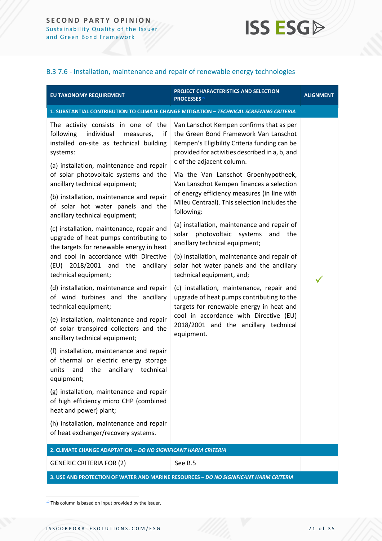#### B.3 7.6 - Installation, maintenance and repair of renewable energy technologies

| EU TAXONOMY REQUIREMENT                                                                                                                                                                                                                                                                                     | <b>PROJECT CHARACTERISTICS AND SELECTION</b><br>PROCESSES <sup>19</sup>                                                                                                                                                                                                                                                                             | <b>ALIGNMENT</b> |
|-------------------------------------------------------------------------------------------------------------------------------------------------------------------------------------------------------------------------------------------------------------------------------------------------------------|-----------------------------------------------------------------------------------------------------------------------------------------------------------------------------------------------------------------------------------------------------------------------------------------------------------------------------------------------------|------------------|
|                                                                                                                                                                                                                                                                                                             | 1. SUBSTANTIAL CONTRIBUTION TO CLIMATE CHANGE MITIGATION - TECHNICAL SCREENING CRITERIA                                                                                                                                                                                                                                                             |                  |
| The activity consists in one of the<br>following<br>individual<br>measures,<br>if<br>installed on-site as technical building<br>systems:<br>(a) installation, maintenance and repair<br>of solar photovoltaic systems and the<br>ancillary technical equipment;<br>(b) installation, maintenance and repair | Van Lanschot Kempen confirms that as per<br>the Green Bond Framework Van Lanschot<br>Kempen's Eligibility Criteria funding can be<br>provided for activities described in a, b, and<br>c of the adjacent column.<br>Via the Van Lanschot Groenhypotheek,<br>Van Lanschot Kempen finances a selection<br>of energy efficiency measures (in line with |                  |
| of solar hot water panels and the<br>ancillary technical equipment;                                                                                                                                                                                                                                         | Mileu Centraal). This selection includes the<br>following:                                                                                                                                                                                                                                                                                          |                  |
| (c) installation, maintenance, repair and<br>upgrade of heat pumps contributing to<br>the targets for renewable energy in heat<br>and cool in accordance with Directive                                                                                                                                     | (a) installation, maintenance and repair of<br>photovoltaic systems<br>solar<br>and the<br>ancillary technical equipment;<br>(b) installation, maintenance and repair of                                                                                                                                                                            |                  |
| 2018/2001 and the ancillary<br>(EU)<br>technical equipment;                                                                                                                                                                                                                                                 | solar hot water panels and the ancillary<br>technical equipment, and;                                                                                                                                                                                                                                                                               |                  |
| (d) installation, maintenance and repair<br>of wind turbines and the ancillary<br>technical equipment;                                                                                                                                                                                                      | (c) installation, maintenance, repair and<br>upgrade of heat pumps contributing to the<br>targets for renewable energy in heat and                                                                                                                                                                                                                  |                  |
| (e) installation, maintenance and repair<br>of solar transpired collectors and the<br>ancillary technical equipment;                                                                                                                                                                                        | cool in accordance with Directive (EU)<br>2018/2001 and the ancillary technical<br>equipment.                                                                                                                                                                                                                                                       |                  |
| (f) installation, maintenance and repair<br>of thermal or electric energy storage<br>units and the ancillary technical<br>equipment;                                                                                                                                                                        |                                                                                                                                                                                                                                                                                                                                                     |                  |
| (g) installation, maintenance and repair<br>of high efficiency micro CHP (combined<br>heat and power) plant;                                                                                                                                                                                                |                                                                                                                                                                                                                                                                                                                                                     |                  |
| (h) installation, maintenance and repair<br>of heat exchanger/recovery systems.                                                                                                                                                                                                                             |                                                                                                                                                                                                                                                                                                                                                     |                  |
| 2. CLIMATE CHANGE ADAPTATION - DO NO SIGNIFICANT HARM CRITERIA                                                                                                                                                                                                                                              |                                                                                                                                                                                                                                                                                                                                                     |                  |
| <b>GENERIC CRITERIA FOR (2)</b>                                                                                                                                                                                                                                                                             | See B.5                                                                                                                                                                                                                                                                                                                                             |                  |

**3. USE AND PROTECTION OF WATER AND MARINE RESOURCES –** *DO NO SIGNIFICANT HARM CRITERIA*

<sup>19</sup> This column is based on input provided by the issuer.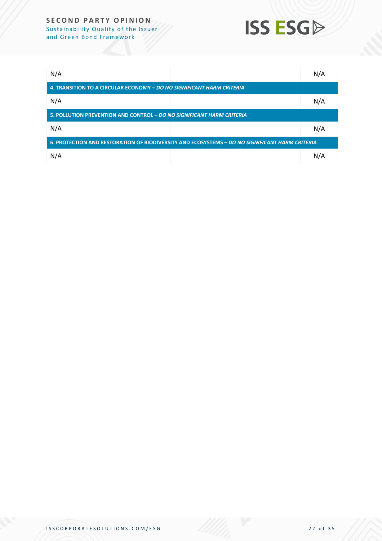### **SECOND PARTY OPINION** Sustainab ility Quality of the Issu er

and Green Bond Framework



| N/A                                                                                            |  | N/A |  |  |
|------------------------------------------------------------------------------------------------|--|-----|--|--|
| 4. TRANSITION TO A CIRCULAR ECONOMY - DO NO SIGNIFICANT HARM CRITERIA                          |  |     |  |  |
| N/A                                                                                            |  | N/A |  |  |
| 5. POLLUTION PREVENTION AND CONTROL – DO NO SIGNIFICANT HARM CRITERIA                          |  |     |  |  |
| N/A                                                                                            |  | N/A |  |  |
| 6. PROTECTION AND RESTORATION OF BIODIVERSITY AND ECOSYSTEMS - DO NO SIGNIFICANT HARM CRITERIA |  |     |  |  |
| N/A                                                                                            |  | N/A |  |  |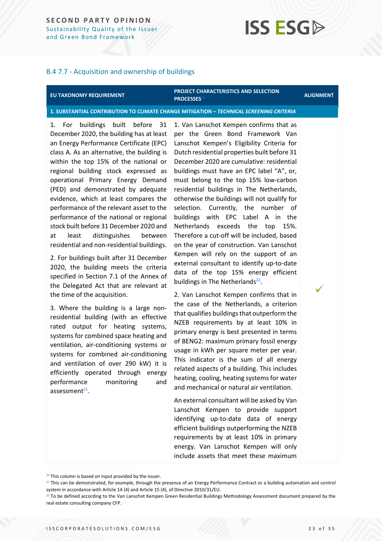#### B.4 7.7 - Acquisition and ownership of buildings

#### **EU TAXONOMY REQUIREMENT**

#### **PROJECT CHARACTERISTICS AND SELECTION PROCESSES**<sup>20</sup> **ALIGNMENT**

✓

#### **1. SUBSTANTIAL CONTRIBUTION TO CLIMATE CHANGE MITIGATION –** *TECHNICAL SCREENING CRITERIA*

1. For buildings built before 31 December 2020, the building has at least an Energy Performance Certificate (EPC) class A. As an alternative, the building is within the top 15% of the national or regional building stock expressed as operational Primary Energy Demand (PED) and demonstrated by adequate evidence, which at least compares the performance of the relevant asset to the performance of the national or regional stock built before 31 December 2020 and at least distinguishes between residential and non-residential buildings.

2. For buildings built after 31 December 2020, the building meets the criteria specified in Section 7.1 of the Annex of the Delegated Act that are relevant at the time of the acquisition.

3. Where the building is a large nonresidential building (with an effective rated output for heating systems, systems for combined space heating and ventilation, air-conditioning systems or systems for combined air-conditioning and ventilation of over 290 kW) it is efficiently operated through energy performance monitoring and assessment<sup>21</sup>.

1. Van Lanschot Kempen confirms that as per the Green Bond Framework Van Lanschot Kempen's Eligibility Criteria for Dutch residential properties built before 31 December 2020 are cumulative: residential buildings must have an EPC label "A", or, must belong to the top 15% low-carbon residential buildings in The Netherlands, otherwise the buildings will not qualify for selection. Currently, the number of buildings with EPC Label A in the Netherlands exceeds the top 15%. Therefore a cut-off will be included, based on the year of construction. Van Lanschot Kempen will rely on the support of an external consultant to identify up-to-date data of the top 15% energy efficient buildings in The Netherlands<sup>22</sup>.

2. Van Lanschot Kempen confirms that in the case of the Netherlands, a criterion that qualifies buildings that outperform the NZEB requirements by at least 10% in primary energy is best presented in terms of BENG2: maximum primary fossil energy usage in kWh per square meter per year. This indicator is the sum of all energy related aspects of a building. This includes heating, cooling, heating systems for water and mechanical or natural air ventilation.

An external consultant will be asked by Van Lanschot Kempen to provide support identifying up-to-date data of energy efficient buildings outperforming the NZEB requirements by at least 10% in primary energy. Van Lanschot Kempen will only include assets that meet these maximum

<sup>21</sup> This can be demonstrated, for example, through the presence of an Energy Performance Contract or a building automation and control system in accordance with Article 14 (4) and Article 15 (4), of Directive 2010/31/EU.

<sup>&</sup>lt;sup>20</sup> This column is based on input provided by the issuer.

 $22$  To be defined according to the Van Lanschot Kempen Green Residential Buildings Methodology Assessment document prepared by the real estate consulting company CFP.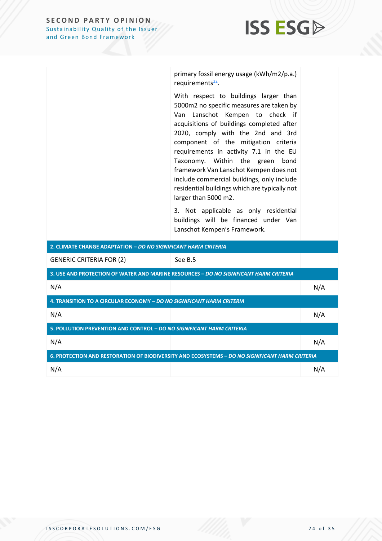

primary fossil energy usage (kWh/m2/p.a.) requirements<sup>22</sup>.

With respect to buildings larger than 5000m2 no specific measures are taken by Van Lanschot Kempen to check if acquisitions of buildings completed after 2020, comply with the 2nd and 3rd component of the mitigation criteria requirements in activity 7.1 in the EU Taxonomy. Within the green bond framework Van Lanschot Kempen does not include commercial buildings, only include residential buildings which are typically not larger than 5000 m2.

3. Not applicable as only residential buildings will be financed under Van Lanschot Kempen's Framework.

| 2. CLIMATE CHANGE ADAPTATION - DO NO SIGNIFICANT HARM CRITERIA                                 |                                                                                       |     |
|------------------------------------------------------------------------------------------------|---------------------------------------------------------------------------------------|-----|
| <b>GENERIC CRITERIA FOR (2)</b>                                                                | See B.5                                                                               |     |
|                                                                                                | 3. USE AND PROTECTION OF WATER AND MARINE RESOURCES - DO NO SIGNIFICANT HARM CRITERIA |     |
| N/A                                                                                            |                                                                                       | N/A |
| 4. TRANSITION TO A CIRCULAR ECONOMY - DO NO SIGNIFICANT HARM CRITERIA                          |                                                                                       |     |
| N/A                                                                                            |                                                                                       | N/A |
| 5. POLLUTION PREVENTION AND CONTROL - DO NO SIGNIFICANT HARM CRITERIA                          |                                                                                       |     |
| N/A                                                                                            |                                                                                       | N/A |
| 6. PROTECTION AND RESTORATION OF BIODIVERSITY AND ECOSYSTEMS - DO NO SIGNIFICANT HARM CRITERIA |                                                                                       |     |
| N/A                                                                                            |                                                                                       | N/A |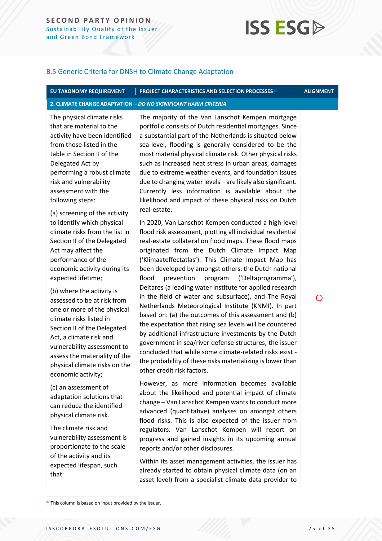#### B.5 Generic Criteria for DNSH to Climate Change Adaptation

### **EU TAXONOMY REQUIREMENT PROJECT CHARACTERISTICS AND SELECTION PROCESSES**<sup>23</sup> **ALIGNMENT**

#### **2. CLIMATE CHANGE ADAPTATION –** *DO NO SIGNIFICANT HARM CRITERIA*

The physical climate risks that are material to the activity have been identified from those listed in the table in Section II of the Delegated Act by performing a robust climate risk and vulnerability assessment with the following steps:

(a) screening of the activity to identify which physical climate risks from the list in Section II of the Delegated Act may affect the performance of the economic activity during its expected lifetime;

(b) where the activity is assessed to be at risk from one or more of the physical climate risks listed in Section II of the Delegated Act, a climate risk and vulnerability assessment to assess the materiality of the physical climate risks on the economic activity;

(c) an assessment of adaptation solutions that can reduce the identified physical climate risk.

The climate risk and vulnerability assessment is proportionate to the scale of the activity and its expected lifespan, such that:

The majority of the Van Lanschot Kempen mortgage portfolio consists of Dutch residential mortgages. Since a substantial part of the Netherlands is situated below sea-level, flooding is generally considered to be the most material physical climate risk. Other physical risks such as increased heat stress in urban areas, damages due to extreme weather events, and foundation issues due to changing water levels – are likely also significant. Currently less information is available about the likelihood and impact of these physical risks on Dutch real-estate.

In 2020, Van Lanschot Kempen conducted a high-level flood risk assessment, plotting all individual residential real-estate collateral on flood maps. These flood maps originated from the Dutch Climate Impact Map ('Klimaateffectatlas'). This Climate Impact Map has been developed by amongst others: the Dutch national flood prevention program ('Deltaprogramma'), Deltares (a leading water institute for applied research in the field of water and subsurface), and The Royal Netherlands Meteorological Institute (KNMI). In part based on: (a) the outcomes of this assessment and (b) the expectation that rising sea levels will be countered by additional infrastructure investments by the Dutch government in sea/river defense structures, the issuer concluded that while some climate-related risks exist the probability of these risks materializing is lower than other credit risk factors.

However, as more information becomes available about the likelihood and potential impact of climate change – Van Lanschot Kempen wants to conduct more advanced (quantitative) analyses on amongst others flood risks. This is also expected of the issuer from regulators. Van Lanschot Kempen will report on progress and gained insights in its upcoming annual reports and/or other disclosures.

Within its asset management activities, the issuer has already started to obtain physical climate data (on an asset level) from a specialist climate data provider to

<sup>23</sup> This column is based on input provided by the issuer.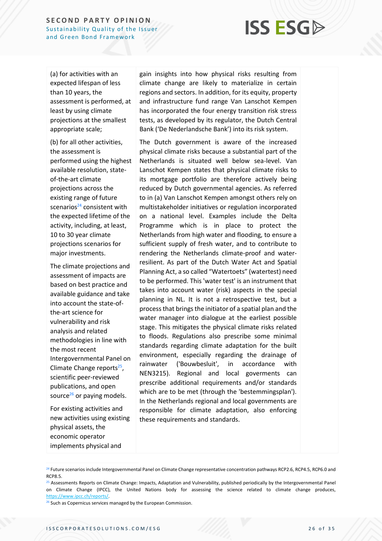## **ISS ESG**

(a) for activities with an expected lifespan of less than 10 years, the assessment is performed, at least by using climate projections at the smallest appropriate scale;

(b) for all other activities, the assessment is performed using the highest available resolution, stateof-the-art climate projections across the existing range of future scenarios $^{24}$  consistent with the expected lifetime of the activity, including, at least, 10 to 30 year climate projections scenarios for major investments.

The climate projections and assessment of impacts are based on best practice and available guidance and take into account the state-ofthe-art science for vulnerability and risk analysis and related methodologies in line with the most recent Intergovernmental Panel on Climate Change reports<sup>25</sup>, scientific peer-reviewed publications, and open source $^{26}$  or paying models.

For existing activities and new activities using existing physical assets, the economic operator implements physical and

gain insights into how physical risks resulting from climate change are likely to materialize in certain regions and sectors. In addition, for its equity, property and infrastructure fund range Van Lanschot Kempen has incorporated the four energy transition risk stress tests, as developed by its regulator, the Dutch Central Bank ('De Nederlandsche Bank') into its risk system.

The Dutch government is aware of the increased physical climate risks because a substantial part of the Netherlands is situated well below sea-level. Van Lanschot Kempen states that physical climate risks to its mortgage portfolio are therefore actively being reduced by Dutch governmental agencies. As referred to in (a) Van Lanschot Kempen amongst others rely on multistakeholder initiatives or regulation incorporated on a national level. Examples include the Delta Programme which is in place to protect the Netherlands from high water and flooding, to ensure a sufficient supply of fresh water, and to contribute to rendering the Netherlands climate-proof and waterresilient. As part of the Dutch Water Act and Spatial Planning Act, a so called "Watertoets" (watertest) need to be performed. This 'water test' is an instrument that takes into account water (risk) aspects in the special planning in NL. It is not a retrospective test, but a process that brings the initiator of a spatial plan and the water manager into dialogue at the earliest possible stage. This mitigates the physical climate risks related to floods. Regulations also prescribe some minimal standards regarding climate adaptation for the built environment, especially regarding the drainage of rainwater ('Bouwbesluit', in accordance with NEN3215). Regional and local goverments can prescribe additional requirements and/or standards which are to be met (through the 'bestemmingsplan'). In the Netherlands regional and local governments are responsible for climate adaptation, also enforcing these requirements and standards.

<sup>&</sup>lt;sup>24</sup> Future scenarios include Intergovernmental Panel on Climate Change representative concentration pathways RCP2.6, RCP4.5, RCP6.0 and RCP8.5.

<sup>&</sup>lt;sup>25</sup> Assessments Reports on Climate Change: Impacts, Adaptation and Vulnerability, published periodically by the Intergovernmental Panel on Climate Change (IPCC), the United Nations body for assessing the science related to climate change produces, [https://www.ipcc.ch/reports/.](https://www.ipcc.ch/reports/)

<sup>&</sup>lt;sup>26</sup> Such as Copernicus services managed by the European Commission.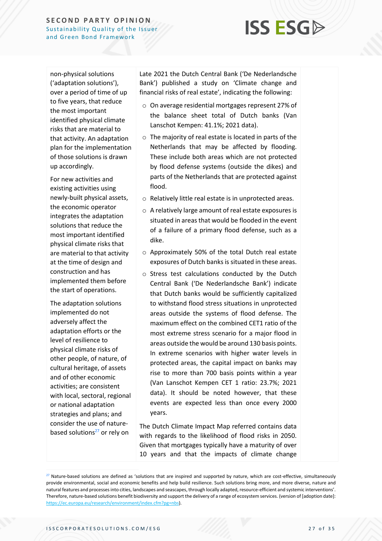## **ISS ESG**

non-physical solutions ('adaptation solutions'), over a period of time of up to five years, that reduce the most important identified physical climate risks that are material to that activity. An adaptation plan for the implementation of those solutions is drawn up accordingly.

For new activities and existing activities using newly-built physical assets, the economic operator integrates the adaptation solutions that reduce the most important identified physical climate risks that are material to that activity at the time of design and construction and has implemented them before the start of operations.

The adaptation solutions implemented do not adversely affect the adaptation efforts or the level of resilience to physical climate risks of other people, of nature, of cultural heritage, of assets and of other economic activities; are consistent with local, sectoral, regional or national adaptation strategies and plans; and consider the use of naturebased solutions $27$  or rely on

Late 2021 the Dutch Central Bank ('De Nederlandsche Bank') published a study on 'Climate change and financial risks of real estate', indicating the following:

- o On average residential mortgages represent 27% of the balance sheet total of Dutch banks (Van Lanschot Kempen: 41.1%; 2021 data).
- o The majority of real estate is located in parts of the Netherlands that may be affected by flooding. These include both areas which are not protected by flood defense systems (outside the dikes) and parts of the Netherlands that are protected against flood.
- o Relatively little real estate is in unprotected areas.
- o A relatively large amount of real estate exposures is situated in areas that would be flooded in the event of a failure of a primary flood defense, such as a dike.
- o Approximately 50% of the total Dutch real estate exposures of Dutch banks is situated in these areas.
- o Stress test calculations conducted by the Dutch Central Bank ('De Nederlandsche Bank') indicate that Dutch banks would be sufficiently capitalized to withstand flood stress situations in unprotected areas outside the systems of flood defense. The maximum effect on the combined CET1 ratio of the most extreme stress scenario for a major flood in areas outside the would be around 130 basis points. In extreme scenarios with higher water levels in protected areas, the capital impact on banks may rise to more than 700 basis points within a year (Van Lanschot Kempen CET 1 ratio: 23.7%; 2021 data). It should be noted however, that these events are expected less than once every 2000 years.

The Dutch Climate Impact Map referred contains data with regards to the likelihood of flood risks in 2050. Given that mortgages typically have a maturity of over 10 years and that the impacts of climate change

 $27$  Nature-based solutions are defined as 'solutions that are inspired and supported by nature, which are cost-effective, simultaneously provide environmental, social and economic benefits and help build resilience. Such solutions bring more, and more diverse, nature and natural features and processes into cities, landscapes and seascapes, through locally adapted, resource-efficient and systemic interventions'. Therefore, nature-based solutions benefit biodiversity and support the delivery of a range of ecosystem services. (version of [adoption date]: [https://ec.europa.eu/research/environment/index.cfm?pg=nbs\)](https://ec.europa.eu/research/environment/index.cfm?pg=nbs).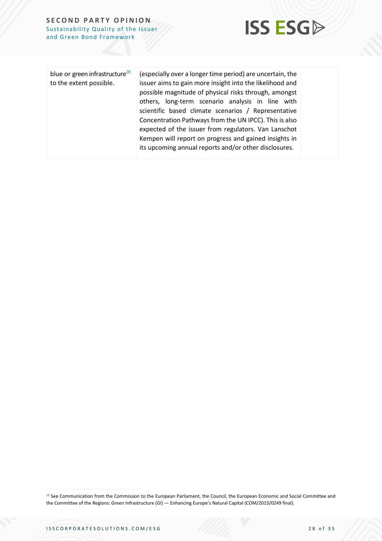

| blue or green infrastructure <sup>28</sup><br>to the extent possible. | (especially over a longer time period) are uncertain, the<br>issuer aims to gain more insight into the likelihood and<br>possible magnitude of physical risks through, amongst<br>others, long-term scenario analysis in line with<br>scientific based climate scenarios / Representative<br>Concentration Pathways from the UN IPCC). This is also<br>expected of the issuer from regulators. Van Lanschot<br>Kempen will report on progress and gained insights in<br>its upcoming annual reports and/or other disclosures. |  |
|-----------------------------------------------------------------------|-------------------------------------------------------------------------------------------------------------------------------------------------------------------------------------------------------------------------------------------------------------------------------------------------------------------------------------------------------------------------------------------------------------------------------------------------------------------------------------------------------------------------------|--|
|-----------------------------------------------------------------------|-------------------------------------------------------------------------------------------------------------------------------------------------------------------------------------------------------------------------------------------------------------------------------------------------------------------------------------------------------------------------------------------------------------------------------------------------------------------------------------------------------------------------------|--|

<sup>28</sup> See Communication from the Commission to the European Parliament, the Council, the European Economic and Social Committee and the Committee of the Regions: Green Infrastructure (GI) — Enhancing Europe's Natural Capital (COM/2013/0249 final).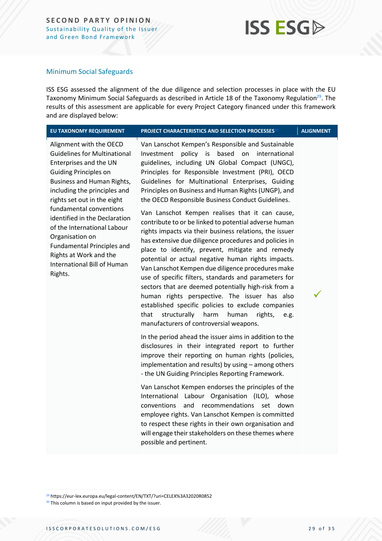#### Minimum Social Safeguards

ISS ESG assessed the alignment of the due diligence and selection processes in place with the EU Taxonomy Minimum Social Safeguards as described in Article 18 of the Taxonomy Regulation<sup>29</sup>. The results of this assessment are applicable for every Project Category financed under this framework and are displayed below:

| EU TAXONOMY REQUIREMENT                                                                                                                                                                                                                                                                                                                                                                                                                      | <b>PROJECT CHARACTERISTICS AND SELECTION PROCESSES<sup>30</sup></b>                                                                                                                                                                                                                                                                                                                                                                                                                                                                                                                                                                                                                                                                                                                                                                                                                                                                                                                                                                                                                                                                                                                                                                                                                                                                                                                                                                                                                                                                                                                                                                                                                                                                                                     | <b>ALIGNMENT</b> |
|----------------------------------------------------------------------------------------------------------------------------------------------------------------------------------------------------------------------------------------------------------------------------------------------------------------------------------------------------------------------------------------------------------------------------------------------|-------------------------------------------------------------------------------------------------------------------------------------------------------------------------------------------------------------------------------------------------------------------------------------------------------------------------------------------------------------------------------------------------------------------------------------------------------------------------------------------------------------------------------------------------------------------------------------------------------------------------------------------------------------------------------------------------------------------------------------------------------------------------------------------------------------------------------------------------------------------------------------------------------------------------------------------------------------------------------------------------------------------------------------------------------------------------------------------------------------------------------------------------------------------------------------------------------------------------------------------------------------------------------------------------------------------------------------------------------------------------------------------------------------------------------------------------------------------------------------------------------------------------------------------------------------------------------------------------------------------------------------------------------------------------------------------------------------------------------------------------------------------------|------------------|
| Alignment with the OECD<br><b>Guidelines for Multinational</b><br>Enterprises and the UN<br><b>Guiding Principles on</b><br>Business and Human Rights,<br>including the principles and<br>rights set out in the eight<br>fundamental conventions<br>identified in the Declaration<br>of the International Labour<br>Organisation on<br><b>Fundamental Principles and</b><br>Rights at Work and the<br>International Bill of Human<br>Rights. | Van Lanschot Kempen's Responsible and Sustainable<br>policy<br>based<br>on<br>international<br>Investment<br>is<br>guidelines, including UN Global Compact (UNGC),<br>Principles for Responsible Investment (PRI), OECD<br>Guidelines for Multinational Enterprises, Guiding<br>Principles on Business and Human Rights (UNGP), and<br>the OECD Responsible Business Conduct Guidelines.<br>Van Lanschot Kempen realises that it can cause,<br>contribute to or be linked to potential adverse human<br>rights impacts via their business relations, the issuer<br>has extensive due diligence procedures and policies in<br>place to identify, prevent, mitigate and remedy<br>potential or actual negative human rights impacts.<br>Van Lanschot Kempen due diligence procedures make<br>use of specific filters, standards and parameters for<br>sectors that are deemed potentially high-risk from a<br>human rights perspective. The issuer has also<br>established specific policies to exclude companies<br>structurally<br>harm<br>human<br>that<br>rights,<br>e.g.<br>manufacturers of controversial weapons.<br>In the period ahead the issuer aims in addition to the<br>disclosures in their integrated report to further<br>improve their reporting on human rights (policies,<br>implementation and results) by using - among others<br>- the UN Guiding Principles Reporting Framework.<br>Van Lanschot Kempen endorses the principles of the<br>International Labour Organisation (ILO), whose<br>conventions<br>and<br>recommendations<br>down<br>set<br>employee rights. Van Lanschot Kempen is committed<br>to respect these rights in their own organisation and<br>will engage their stakeholders on these themes where<br>possible and pertinent. |                  |

<sup>29</sup> https://eur-lex.europa.eu/legal-content/EN/TXT/?uri=CELEX%3A32020R0852

<sup>30</sup> This column is based on input provided by the issuer.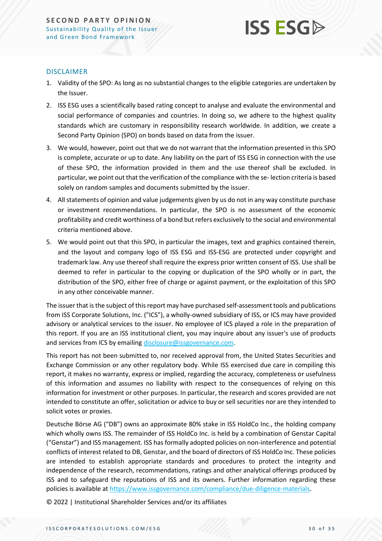#### DISCLAIMER

- 1. Validity of the SPO: As long as no substantial changes to the eligible categories are undertaken by the Issuer.
- 2. ISS ESG uses a scientifically based rating concept to analyse and evaluate the environmental and social performance of companies and countries. In doing so, we adhere to the highest quality standards which are customary in responsibility research worldwide. In addition, we create a Second Party Opinion (SPO) on bonds based on data from the issuer.
- 3. We would, however, point out that we do not warrant that the information presented in this SPO is complete, accurate or up to date. Any liability on the part of ISS ESG in connection with the use of these SPO, the information provided in them and the use thereof shall be excluded. In particular, we point out that the verification of the compliance with the se- lection criteria is based solely on random samples and documents submitted by the issuer.
- 4. All statements of opinion and value judgements given by us do not in any way constitute purchase or investment recommendations. In particular, the SPO is no assessment of the economic profitability and credit worthiness of a bond but refers exclusively to the social and environmental criteria mentioned above.
- 5. We would point out that this SPO, in particular the images, text and graphics contained therein, and the layout and company logo of ISS ESG and ISS-ESG are protected under copyright and trademark law. Any use thereof shall require the express prior written consent of ISS. Use shall be deemed to refer in particular to the copying or duplication of the SPO wholly or in part, the distribution of the SPO, either free of charge or against payment, or the exploitation of this SPO in any other conceivable manner.

The issuer that is the subject of this report may have purchased self-assessment tools and publications from ISS Corporate Solutions, Inc. ("ICS"), a wholly-owned subsidiary of ISS, or ICS may have provided advisory or analytical services to the issuer. No employee of ICS played a role in the preparation of this report. If you are an ISS institutional client, you may inquire about any issuer's use of products and services from ICS by emailin[g disclosure@issgovernance.com.](mailto:disclosure@issgovernance.com)

This report has not been submitted to, nor received approval from, the United States Securities and Exchange Commission or any other regulatory body. While ISS exercised due care in compiling this report, it makes no warranty, express or implied, regarding the accuracy, completeness or usefulness of this information and assumes no liability with respect to the consequences of relying on this information for investment or other purposes. In particular, the research and scores provided are not intended to constitute an offer, solicitation or advice to buy or sell securities nor are they intended to solicit votes or proxies.

Deutsche Börse AG ("DB") owns an approximate 80% stake in ISS HoldCo Inc., the holding company which wholly owns ISS. The remainder of ISS HoldCo Inc. is held by a combination of Genstar Capital ("Genstar") and ISS management. ISS has formally adopted policies on non-interference and potential conflicts of interest related to DB, Genstar, and the board of directors of ISS HoldCo Inc. These policies are intended to establish appropriate standards and procedures to protect the integrity and independence of the research, recommendations, ratings and other analytical offerings produced by ISS and to safeguard the reputations of ISS and its owners. Further information regarding these policies is available at [https://www.issgovernance.com/compliance/due-diligence-materials.](https://www.issgovernance.com/compliance/due-diligence-materials)

© 2022 | Institutional Shareholder Services and/or its affiliates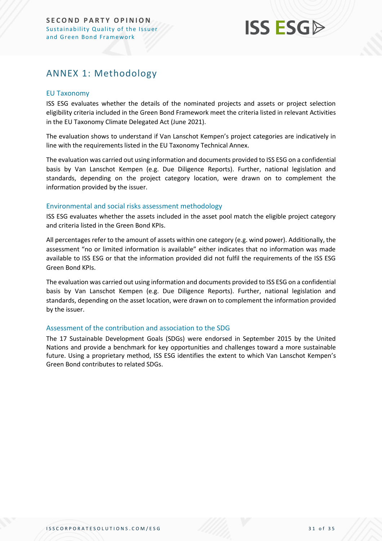### <span id="page-30-0"></span>ANNEX 1: Methodology

#### EU Taxonomy

ISS ESG evaluates whether the details of the nominated projects and assets or project selection eligibility criteria included in the Green Bond Framework meet the criteria listed in relevant Activities in the EU Taxonomy Climate Delegated Act (June 2021).

The evaluation shows to understand if Van Lanschot Kempen's project categories are indicatively in line with the requirements listed in the EU Taxonomy Technical Annex.

The evaluation was carried out using information and documents provided to ISS ESG on a confidential basis by Van Lanschot Kempen (e.g. Due Diligence Reports). Further, national legislation and standards, depending on the project category location, were drawn on to complement the information provided by the issuer.

#### Environmental and social risks assessment methodology

ISS ESG evaluates whether the assets included in the asset pool match the eligible project category and criteria listed in the Green Bond KPIs.

All percentages refer to the amount of assets within one category (e.g. wind power). Additionally, the assessment "no or limited information is available" either indicates that no information was made available to ISS ESG or that the information provided did not fulfil the requirements of the ISS ESG Green Bond KPIs.

The evaluation was carried out using information and documents provided to ISS ESG on a confidential basis by Van Lanschot Kempen (e.g. Due Diligence Reports). Further, national legislation and standards, depending on the asset location, were drawn on to complement the information provided by the issuer.

#### Assessment of the contribution and association to the SDG

The 17 Sustainable Development Goals (SDGs) were endorsed in September 2015 by the United Nations and provide a benchmark for key opportunities and challenges toward a more sustainable future. Using a proprietary method, ISS ESG identifies the extent to which Van Lanschot Kempen's Green Bond contributes to related SDGs.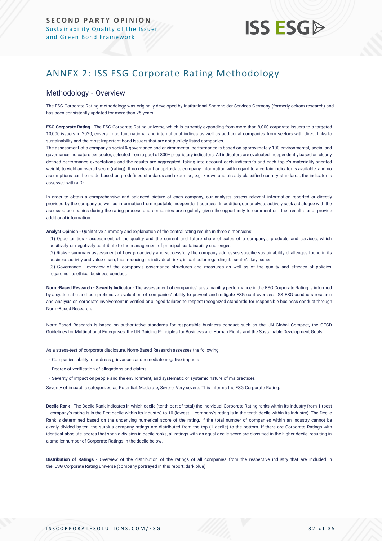### <span id="page-31-0"></span>ANNEX 2: ISS ESG Corporate Rating Methodology

#### Methodology - Overview

The ESG Corporate Rating methodology was originally developed by Institutional Shareholder Services Germany (formerly oekom research) and has been consistently updated for more than 25 years.

**ESG Corporate Rating** - The ESG Corporate Rating universe, which is currently expanding from more than 8,000 corporate issuers to a targeted 10,000 issuers in 2020, covers important national and international indices as well as additional companies from sectors with direct links to sustainability and the most important bond issuers that are not publicly listed companies.

The assessment of a company's social & governance and environmental performance is based on approximately 100 environmental, social and governance indicators per sector, selected from a pool of 800+ proprietary indicators. All indicators are evaluated independently based on clearly defined performance expectations and the results are aggregated, taking into account each indicator's and each topic's materiality-oriented weight, to yield an overall score (rating). If no relevant or up-to-date company information with regard to a certain indicator is available, and no assumptions can be made based on predefined standards and expertise, e.g. known and already classified country standards, the indicator is assessed with a D-.

In order to obtain a comprehensive and balanced picture of each company, our analysts assess relevant information reported or directly provided by the company as well as information from reputable independent sources. In addition, our analysts actively seek a dialogue with the assessed companies during the rating process and companies are regularly given the opportunity to comment on the results and provide additional information.

**Analyst Opinion** - Qualitative summary and explanation of the central rating results in three dimensions:

(1) Opportunities - assessment of the quality and the current and future share of sales of a company's products and services, which positively or negatively contribute to the management of principal sustainability challenges.

(2) Risks - summary assessment of how proactively and successfully the company addresses specific sustainability challenges found in its business activity and value chain, thus reducing its individual risks, in particular regarding its sector's key issues.

(3) Governance - overview of the company's governance structures and measures as well as of the quality and efficacy of policies regarding its ethical business conduct.

**Norm-Based Research - Severity Indicator** - The assessment of companies' sustainability performance in the ESG Corporate Rating is informed by a systematic and comprehensive evaluation of companies' ability to prevent and mitigate ESG controversies. ISS ESG conducts research and analysis [on corporate involvement in verified or alleged failures to respect recognized standards](https://www.issgovernance.com/esg/screening/esg-screening-solutions/#nbr_techdoc_download) for responsible business conduct through [Norm-Based](https://www.issgovernance.com/esg/screening/esg-screening-solutions/#nbr_techdoc_download) Research.

Norm-Based Research is based on authoritative standards for responsible business conduct such as the UN Global Compact, the OECD Guidelines for Multinational Enterprises, the UN Guiding Principles for Business and Human Rights and the Sustainable Development Goals.

As a stress-test of corporate disclosure, Norm-Based Research assesses the following:

- Companies' ability to address grievances and remediate negative impacts
- Degree of verification of allegations and claims
- Severity of impact on people and the environment, and systematic or systemic nature of malpractices

Severity of impact is categorized as Potential, Moderate, Severe, Very severe. This informs the ESG Corporate Rating.

**Decile Rank** - The Decile Rank indicates in which decile (tenth part of total) the individual Corporate Rating ranks within its industry from 1 (best – company's rating is in the first decile within its industry) to 10 (lowest – company's rating is in the tenth decile within its industry). The Decile Rank is determined based on the underlying numerical score of the rating. If the total number of companies within an industry cannot be evenly divided by ten, the surplus company ratings are distributed from the top (1 decile) to the bottom. If there are Corporate Ratings with identical absolute scores that span a division in decile ranks, all ratings with an equal decile score are classified in the higher decile, resulting in a smaller number of Corporate Ratings in the decile below.

**Distribution of Ratings** - Overview of the distribution of the ratings of all companies from the respective industry that are included in the ESG Corporate Rating universe (company portrayed in this report: dark blue).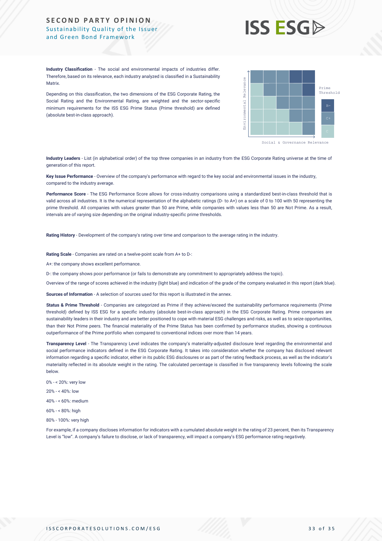## **ISS ESG**

**Industry Classification** - The social and environmental impacts of industries differ. Therefore, based on its relevance, each industry analyzed is classified in a Sustainability **Matrix** 

Depending on this classification, the two dimensions of the ESG Corporate Rating, the Social Rating and the Environmental Rating, are weighted and the sector-specific minimum requirements for the ISS ESG Prime Status (Prime threshold) are defined (absolute best-in-class approach).



**Industry Leaders** - List (in alphabetical order) of the top three companies in an industry from the ESG Corporate Rating universe at the time of generation of this report.

**Key Issue Performance** - Overview of the company's performance with regard to the key social and environmental issues in the industry, compared to the industry average.

**Performance Score** - The ESG Performance Score allows for cross-industry comparisons using a standardized best-in-class threshold that is valid across all industries. It is the numerical representation of the alphabetic ratings (D- to A+) on a scale of 0 to 100 with 50 representing the prime threshold. All companies with values greater than 50 are Prime, while companies with values less than 50 are Not Prime. As a result, intervals are of varying size depending on the original industry-specific prime thresholds.

**Rating History** - Development of the company's rating over time and comparison to the average rating in the industry.

**Rating Scale** - Companies are rated on a twelve-point scale from A+ to D-:

A+: the company shows excellent performance.

D-: the company shows poor performance (or fails to demonstrate any commitment to appropriately address the topic).

Overview of the range of scores achieved in the industry (light blue) and indication of the grade of the company evaluated in this report (dark blue).

**Sources of Information** - A selection of sources used for this report is illustrated in the annex.

Status & Prime Threshold - Companies are categorized as Prime if they achieve/exceed the sustainability performance requirements (Prime threshold) defined by ISS ESG for a specific industry (absolute best-in-class approach) in the ESG Corporate Rating. Prime companies are sustainability leaders in their industry and are better positioned to cope with material ESG challenges and risks, as well as to seize opportunities, than their Not Prime peers. The financial materiality of the Prime Status has been confirmed by performance studies, showing a continuous outperformance of the Prime portfolio when compared to conventional indices over more than 14 years. Africa, the members of the disclose or law of the transparency of the second state of transparency in the members of the transparence of the transparence of the second state a company is a company of the second state and a

**Transparency Level** - The Transparency Level indicates the company's materiality-adjusted disclosure level regarding the environmental and social performance indicators defined in the ESG Corporate Rating. It takes into consideration whether the company has disclosed relevant information regarding a specific indicator, either in its public ESG disclosures or as part of the rating feedback process, as well as the indicator's materiality reflected in its absolute weight in the rating. The calculated percentage is classified in five transparency levels following the scale below.

- 0% < 20%: very low
- 20% < 40%: low

40% - < 60%: medium

- 60% < 80%: high
- 80% 100%: very high

For example, if a company discloses information for indicators with a cumulated absolute weight in the rating of 23 percent, then its Transparency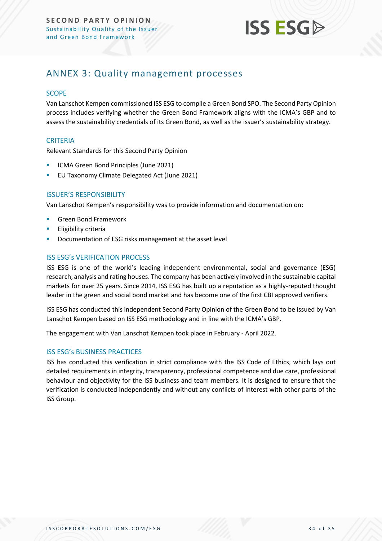

### <span id="page-33-0"></span>ANNEX 3: Quality management processes

#### **SCOPE**

Van Lanschot Kempen commissioned ISS ESG to compile a Green Bond SPO. The Second Party Opinion process includes verifying whether the Green Bond Framework aligns with the ICMA's GBP and to assess the sustainability credentials of its Green Bond, as well as the issuer's sustainability strategy.

#### **CRITERIA**

Relevant Standards for this Second Party Opinion

- ICMA Green Bond Principles (June 2021)
- EU Taxonomy Climate Delegated Act (June 2021)

#### ISSUER'S RESPONSIBILITY

Van Lanschot Kempen's responsibility was to provide information and documentation on:

- **Green Bond Framework**
- **Eligibility criteria**
- Documentation of ESG risks management at the asset level

#### ISS ESG's VERIFICATION PROCESS

ISS ESG is one of the world's leading independent environmental, social and governance (ESG) research, analysis and rating houses. The company has been actively involved in the sustainable capital markets for over 25 years. Since 2014, ISS ESG has built up a reputation as a highly-reputed thought leader in the green and social bond market and has become one of the first CBI approved verifiers.

ISS ESG has conducted this independent Second Party Opinion of the Green Bond to be issued by Van Lanschot Kempen based on ISS ESG methodology and in line with the ICMA's GBP.

The engagement with Van Lanschot Kempen took place in February - April 2022.

#### ISS ESG's BUSINESS PRACTICES

ISS has conducted this verification in strict compliance with the ISS Code of Ethics, which lays out detailed requirements in integrity, transparency, professional competence and due care, professional behaviour and objectivity for the ISS business and team members. It is designed to ensure that the verification is conducted independently and without any conflicts of interest with other parts of the ISS Group.